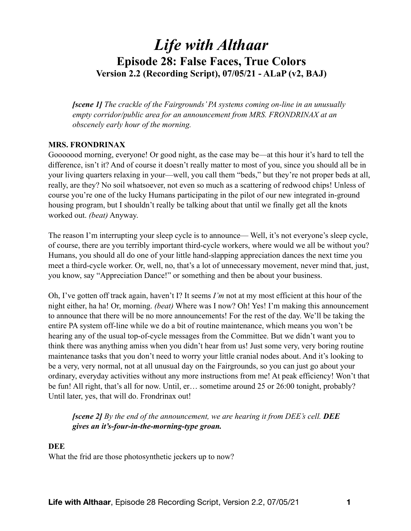# *Life with Althaar*  **Episode 28: False Faces, True Colors Version 2.2 (Recording Script), 07/05/21 - ALaP (v2, BAJ)**

*[scene 1] The crackle of the Fairgrounds' PA systems coming on-line in an unusually empty corridor/public area for an announcement from MRS. FRONDRINAX at an obscenely early hour of the morning.* 

## **MRS. FRONDRINAX**

Gooooood morning, everyone! Or good night, as the case may be—at this hour it's hard to tell the difference, isn't it? And of course it doesn't really matter to most of you, since you should all be in your living quarters relaxing in your—well, you call them "beds," but they're not proper beds at all, really, are they? No soil whatsoever, not even so much as a scattering of redwood chips! Unless of course you're one of the lucky Humans participating in the pilot of our new integrated in-ground housing program, but I shouldn't really be talking about that until we finally get all the knots worked out. *(beat)* Anyway.

The reason I'm interrupting your sleep cycle is to announce— Well, it's not everyone's sleep cycle, of course, there are you terribly important third-cycle workers, where would we all be without you? Humans, you should all do one of your little hand-slapping appreciation dances the next time you meet a third-cycle worker. Or, well, no, that's a lot of unnecessary movement, never mind that, just, you know, say "Appreciation Dance!" or something and then be about your business.

Oh, I've gotten off track again, haven't I? It seems *I'm* not at my most efficient at this hour of the night either, ha ha! Or, morning. *(beat)* Where was I now? Oh! Yes! I'm making this announcement to announce that there will be no more announcements! For the rest of the day. We'll be taking the entire PA system off-line while we do a bit of routine maintenance, which means you won't be hearing any of the usual top-of-cycle messages from the Committee. But we didn't want you to think there was anything amiss when you didn't hear from us! Just some very, very boring routine maintenance tasks that you don't need to worry your little cranial nodes about. And it's looking to be a very, very normal, not at all unusual day on the Fairgrounds, so you can just go about your ordinary, everyday activities without any more instructions from me! At peak efficiency! Won't that be fun! All right, that's all for now. Until, er… sometime around 25 or 26:00 tonight, probably? Until later, yes, that will do. Frondrinax out!

## *[scene 2] By the end of the announcement, we are hearing it from DEE's cell. DEE gives an it's-four-in-the-morning-type groan.*

#### **DEE**

What the frid are those photosynthetic jeckers up to now?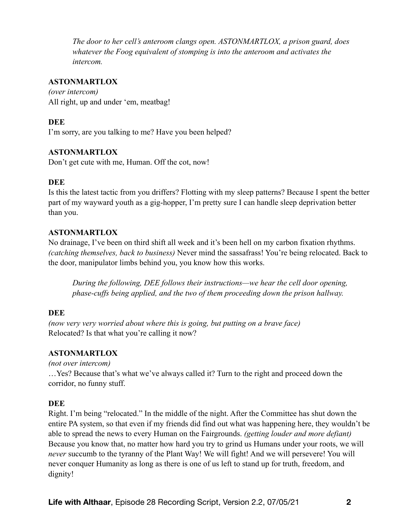*The door to her cell's anteroom clangs open. ASTONMARTLOX, a prison guard, does whatever the Foog equivalent of stomping is into the anteroom and activates the intercom.* 

## **ASTONMARTLOX**

*(over intercom)*  All right, up and under 'em, meatbag!

## **DEE**

I'm sorry, are you talking to me? Have you been helped?

## **ASTONMARTLOX**

Don't get cute with me, Human. Off the cot, now!

#### **DEE**

Is this the latest tactic from you driffers? Flotting with my sleep patterns? Because I spent the better part of my wayward youth as a gig-hopper, I'm pretty sure I can handle sleep deprivation better than you.

## **ASTONMARTLOX**

No drainage, I've been on third shift all week and it's been hell on my carbon fixation rhythms. *(catching themselves, back to business)* Never mind the sassafrass! You're being relocated. Back to the door, manipulator limbs behind you, you know how this works.

*During the following, DEE follows their instructions—we hear the cell door opening, phase-cuffs being applied, and the two of them proceeding down the prison hallway.* 

## **DEE**

*(now very very worried about where this is going, but putting on a brave face)*  Relocated? Is that what you're calling it now?

## **ASTONMARTLOX**

*(not over intercom)*  …Yes? Because that's what we've always called it? Turn to the right and proceed down the corridor, no funny stuff.

## **DEE**

Right. I'm being "relocated." In the middle of the night. After the Committee has shut down the entire PA system, so that even if my friends did find out what was happening here, they wouldn't be able to spread the news to every Human on the Fairgrounds. *(getting louder and more defiant)* Because you know that, no matter how hard you try to grind us Humans under your roots, we will *never* succumb to the tyranny of the Plant Way! We will fight! And we will persevere! You will never conquer Humanity as long as there is one of us left to stand up for truth, freedom, and dignity!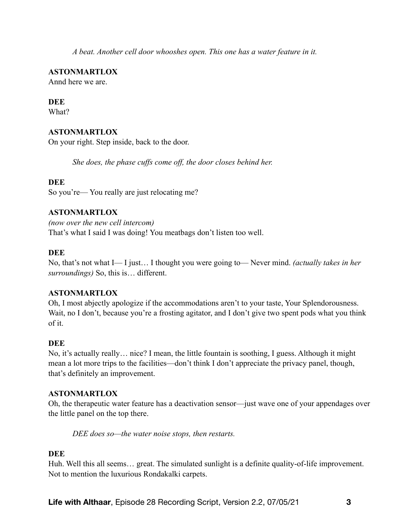*A beat. Another cell door whooshes open. This one has a water feature in it.* 

**ASTONMARTLOX** 

Annd here we are.

## **DEE**

What?

# **ASTONMARTLOX**

On your right. Step inside, back to the door.

*She does, the phase cuffs come off, the door closes behind her.* 

## **DEE**

So you're— You really are just relocating me?

## **ASTONMARTLOX**

*(now over the new cell intercom)*  That's what I said I was doing! You meatbags don't listen too well.

# **DEE**

No, that's not what I— I just… I thought you were going to— Never mind. *(actually takes in her surroundings)* So, this is… different.

## **ASTONMARTLOX**

Oh, I most abjectly apologize if the accommodations aren't to your taste, Your Splendorousness. Wait, no I don't, because you're a frosting agitator, and I don't give two spent pods what you think of it.

# **DEE**

No, it's actually really… nice? I mean, the little fountain is soothing, I guess. Although it might mean a lot more trips to the facilities—don't think I don't appreciate the privacy panel, though, that's definitely an improvement.

## **ASTONMARTLOX**

Oh, the therapeutic water feature has a deactivation sensor—just wave one of your appendages over the little panel on the top there.

*DEE does so—the water noise stops, then restarts.* 

# **DEE**

Huh. Well this all seems… great. The simulated sunlight is a definite quality-of-life improvement. Not to mention the luxurious Rondakalki carpets.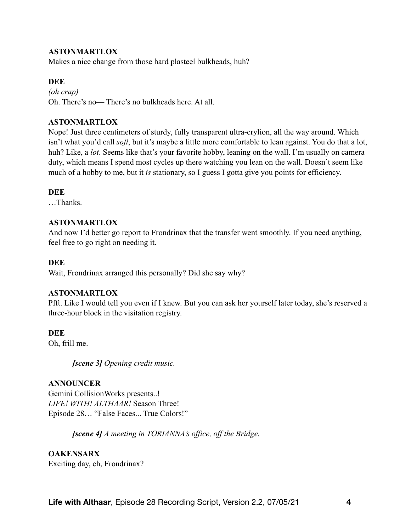## **ASTONMARTLOX**

Makes a nice change from those hard plasteel bulkheads, huh?

#### **DEE**

*(oh crap)* Oh. There's no— There's no bulkheads here. At all.

#### **ASTONMARTLOX**

Nope! Just three centimeters of sturdy, fully transparent ultra-crylion, all the way around. Which isn't what you'd call *soft*, but it's maybe a little more comfortable to lean against. You do that a lot, huh? Like, a *lot*. Seems like that's your favorite hobby, leaning on the wall. I'm usually on camera duty, which means I spend most cycles up there watching you lean on the wall. Doesn't seem like much of a hobby to me, but it *is* stationary, so I guess I gotta give you points for efficiency.

#### **DEE**

…Thanks.

#### **ASTONMARTLOX**

And now I'd better go report to Frondrinax that the transfer went smoothly. If you need anything, feel free to go right on needing it.

#### **DEE**

Wait, Frondrinax arranged this personally? Did she say why?

#### **ASTONMARTLOX**

Pfft. Like I would tell you even if I knew. But you can ask her yourself later today, she's reserved a three-hour block in the visitation registry.

#### **DEE**

Oh, frill me.

*[scene 3] Opening credit music.* 

#### **ANNOUNCER**

Gemini CollisionWorks presents..! *LIFE! WITH! ALTHAAR!* Season Three! Episode 28… "False Faces... True Colors!"

*[scene 4] A meeting in TORIANNA's office, off the Bridge.* 

#### **OAKENSARX**

Exciting day, eh, Frondrinax?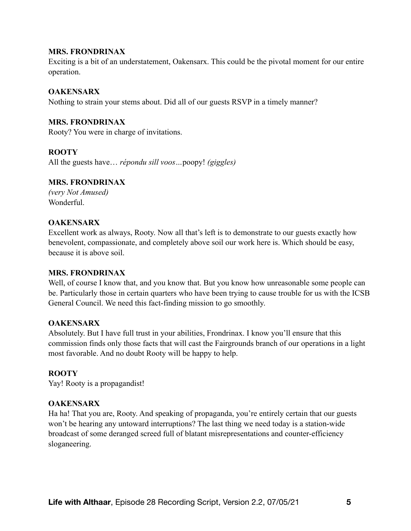Exciting is a bit of an understatement, Oakensarx. This could be the pivotal moment for our entire operation.

## **OAKENSARX**

Nothing to strain your stems about. Did all of our guests RSVP in a timely manner?

## **MRS. FRONDRINAX**

Rooty? You were in charge of invitations.

## **ROOTY**

All the guests have… *répondu sill voos…*poopy! *(giggles)* 

## **MRS. FRONDRINAX**

*(very Not Amused)*  Wonderful

## **OAKENSARX**

Excellent work as always, Rooty. Now all that's left is to demonstrate to our guests exactly how benevolent, compassionate, and completely above soil our work here is. Which should be easy, because it is above soil.

## **MRS. FRONDRINAX**

Well, of course I know that, and you know that. But you know how unreasonable some people can be. Particularly those in certain quarters who have been trying to cause trouble for us with the ICSB General Council. We need this fact-finding mission to go smoothly.

## **OAKENSARX**

Absolutely. But I have full trust in your abilities, Frondrinax. I know you'll ensure that this commission finds only those facts that will cast the Fairgrounds branch of our operations in a light most favorable. And no doubt Rooty will be happy to help.

## **ROOTY**

Yay! Rooty is a propagandist!

## **OAKENSARX**

Ha ha! That you are, Rooty. And speaking of propaganda, you're entirely certain that our guests won't be hearing any untoward interruptions? The last thing we need today is a station-wide broadcast of some deranged screed full of blatant misrepresentations and counter-efficiency sloganeering.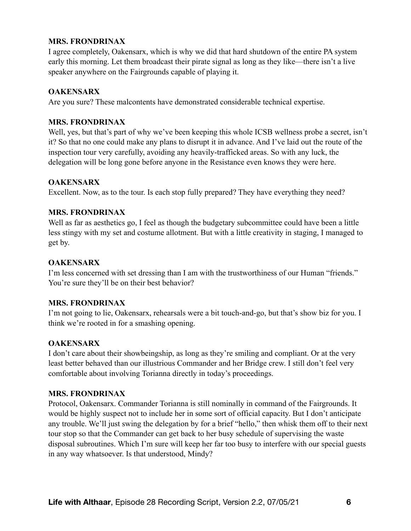I agree completely, Oakensarx, which is why we did that hard shutdown of the entire PA system early this morning. Let them broadcast their pirate signal as long as they like—there isn't a live speaker anywhere on the Fairgrounds capable of playing it.

## **OAKENSARX**

Are you sure? These malcontents have demonstrated considerable technical expertise.

## **MRS. FRONDRINAX**

Well, yes, but that's part of why we've been keeping this whole ICSB wellness probe a secret, isn't it? So that no one could make any plans to disrupt it in advance. And I've laid out the route of the inspection tour very carefully, avoiding any heavily-trafficked areas. So with any luck, the delegation will be long gone before anyone in the Resistance even knows they were here.

# **OAKENSARX**

Excellent. Now, as to the tour. Is each stop fully prepared? They have everything they need?

## **MRS. FRONDRINAX**

Well as far as aesthetics go, I feel as though the budgetary subcommittee could have been a little less stingy with my set and costume allotment. But with a little creativity in staging, I managed to get by.

# **OAKENSARX**

I'm less concerned with set dressing than I am with the trustworthiness of our Human "friends." You're sure they'll be on their best behavior?

## **MRS. FRONDRINAX**

I'm not going to lie, Oakensarx, rehearsals were a bit touch-and-go, but that's show biz for you. I think we're rooted in for a smashing opening.

# **OAKENSARX**

I don't care about their showbeingship, as long as they're smiling and compliant. Or at the very least better behaved than our illustrious Commander and her Bridge crew. I still don't feel very comfortable about involving Torianna directly in today's proceedings.

## **MRS. FRONDRINAX**

Protocol, Oakensarx. Commander Torianna is still nominally in command of the Fairgrounds. It would be highly suspect not to include her in some sort of official capacity. But I don't anticipate any trouble. We'll just swing the delegation by for a brief "hello," then whisk them off to their next tour stop so that the Commander can get back to her busy schedule of supervising the waste disposal subroutines. Which I'm sure will keep her far too busy to interfere with our special guests in any way whatsoever. Is that understood, Mindy?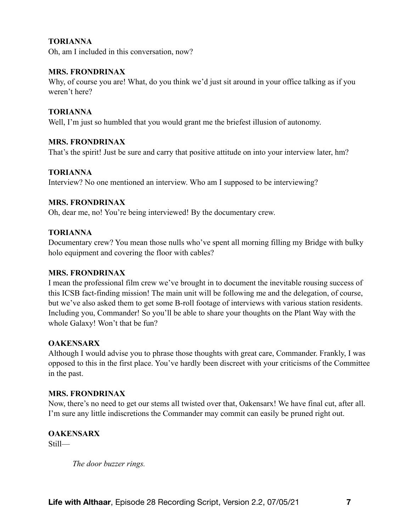## **TORIANNA**

Oh, am I included in this conversation, now?

## **MRS. FRONDRINAX**

Why, of course you are! What, do you think we'd just sit around in your office talking as if you weren't here?

## **TORIANNA**

Well, I'm just so humbled that you would grant me the briefest illusion of autonomy.

## **MRS. FRONDRINAX**

That's the spirit! Just be sure and carry that positive attitude on into your interview later, hm?

## **TORIANNA**

Interview? No one mentioned an interview. Who am I supposed to be interviewing?

## **MRS. FRONDRINAX**

Oh, dear me, no! You're being interviewed! By the documentary crew.

## **TORIANNA**

Documentary crew? You mean those nulls who've spent all morning filling my Bridge with bulky holo equipment and covering the floor with cables?

## **MRS. FRONDRINAX**

I mean the professional film crew we've brought in to document the inevitable rousing success of this ICSB fact-finding mission! The main unit will be following me and the delegation, of course, but we've also asked them to get some B-roll footage of interviews with various station residents. Including you, Commander! So you'll be able to share your thoughts on the Plant Way with the whole Galaxy! Won't that be fun?

## **OAKENSARX**

Although I would advise you to phrase those thoughts with great care, Commander. Frankly, I was opposed to this in the first place. You've hardly been discreet with your criticisms of the Committee in the past.

## **MRS. FRONDRINAX**

Now, there's no need to get our stems all twisted over that, Oakensarx! We have final cut, after all. I'm sure any little indiscretions the Commander may commit can easily be pruned right out.

**OAKENSARX**  Still—

*The door buzzer rings.*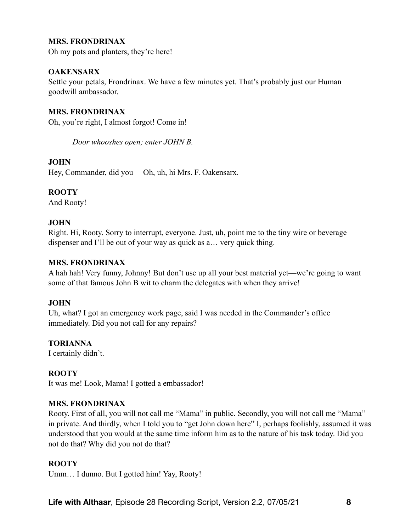Oh my pots and planters, they're here!

## **OAKENSARX**

Settle your petals, Frondrinax. We have a few minutes yet. That's probably just our Human goodwill ambassador.

## **MRS. FRONDRINAX**

Oh, you're right, I almost forgot! Come in!

*Door whooshes open; enter JOHN B.* 

## **JOHN**

Hey, Commander, did you— Oh, uh, hi Mrs. F. Oakensarx.

## **ROOTY**

And Rooty!

## **JOHN**

Right. Hi, Rooty. Sorry to interrupt, everyone. Just, uh, point me to the tiny wire or beverage dispenser and I'll be out of your way as quick as a… very quick thing.

## **MRS. FRONDRINAX**

A hah hah! Very funny, Johnny! But don't use up all your best material yet—we're going to want some of that famous John B wit to charm the delegates with when they arrive!

## **JOHN**

Uh, what? I got an emergency work page, said I was needed in the Commander's office immediately. Did you not call for any repairs?

## **TORIANNA**

I certainly didn't.

## **ROOTY**

It was me! Look, Mama! I gotted a embassador!

## **MRS. FRONDRINAX**

Rooty. First of all, you will not call me "Mama" in public. Secondly, you will not call me "Mama" in private. And thirdly, when I told you to "get John down here" I, perhaps foolishly, assumed it was understood that you would at the same time inform him as to the nature of his task today. Did you not do that? Why did you not do that?

## **ROOTY**

Umm… I dunno. But I gotted him! Yay, Rooty!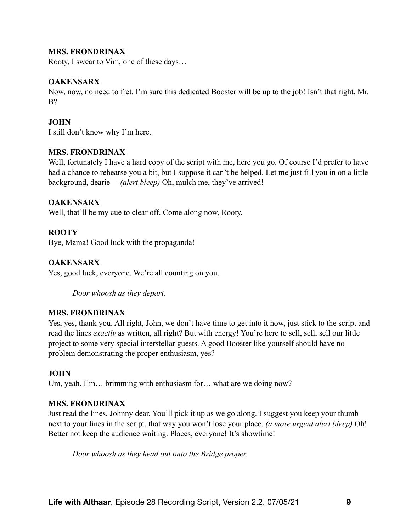Rooty, I swear to Vim, one of these days…

#### **OAKENSARX**

Now, now, no need to fret. I'm sure this dedicated Booster will be up to the job! Isn't that right, Mr. B?

## **JOHN**

I still don't know why I'm here.

#### **MRS. FRONDRINAX**

Well, fortunately I have a hard copy of the script with me, here you go. Of course I'd prefer to have had a chance to rehearse you a bit, but I suppose it can't be helped. Let me just fill you in on a little background, dearie— *(alert bleep)* Oh, mulch me, they've arrived!

#### **OAKENSARX**

Well, that'll be my cue to clear off. Come along now, Rooty.

#### **ROOTY**

Bye, Mama! Good luck with the propaganda!

## **OAKENSARX**

Yes, good luck, everyone. We're all counting on you.

*Door whoosh as they depart.*

## **MRS. FRONDRINAX**

Yes, yes, thank you. All right, John, we don't have time to get into it now, just stick to the script and read the lines *exactly* as written, all right? But with energy! You're here to sell, sell, sell our little project to some very special interstellar guests. A good Booster like yourself should have no problem demonstrating the proper enthusiasm, yes?

## **JOHN**

Um, yeah. I'm... brimming with enthusiasm for... what are we doing now?

## **MRS. FRONDRINAX**

Just read the lines, Johnny dear. You'll pick it up as we go along. I suggest you keep your thumb next to your lines in the script, that way you won't lose your place. *(a more urgent alert bleep)* Oh! Better not keep the audience waiting. Places, everyone! It's showtime!

*Door whoosh as they head out onto the Bridge proper.*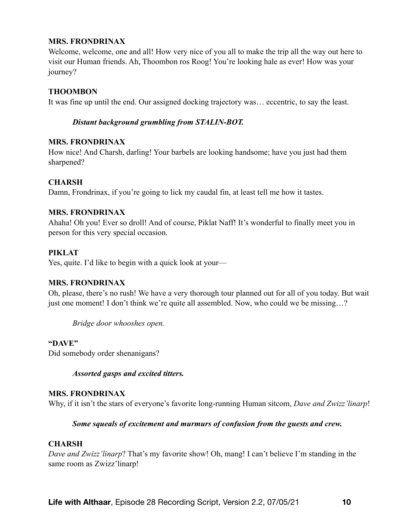Welcome, welcome, one and all! How very nice of you all to make the trip all the way out here to visit our Human friends. Ah, Thoombon ros Roog! You're looking hale as ever! How was your journey?

#### **THOOMBON**

It was fine up until the end. Our assigned docking trajectory was… eccentric, to say the least.

#### *Distant background grumbling from STALIN-BOT.*

#### **MRS. FRONDRINAX**

How nice! And Charsh, darling! Your barbels are looking handsome; have you just had them sharpened?

#### **CHARSH**

Damn, Frondrinax, if you're going to lick my caudal fin, at least tell me how it tastes.

#### **MRS. FRONDRINAX**

Ahaha! Oh you! Ever so droll! And of course, Piklat Naff! It's wonderful to finally meet you in person for this very special occasion.

#### **PIKLAT**

Yes, quite. I'd like to begin with a quick look at your—

#### **MRS. FRONDRINAX**

Oh, please, there's no rush! We have a very thorough tour planned out for all of you today. But wait just one moment! I don't think we're quite all assembled. Now, who could we be missing…?

*Bridge door whooshes open.* 

## **"DAVE"**

Did somebody order shenanigans?

*Assorted gasps and excited titters.* 

#### **MRS. FRONDRINAX**

Why, if it isn't the stars of everyone's favorite long-running Human sitcom, *Dave and Zwizz'linarp*!

#### *Some squeals of excitement and murmurs of confusion from the guests and crew.*

#### **CHARSH**

*Dave and Zwizz'linarp*? That's my favorite show! Oh, mang! I can't believe I'm standing in the same room as Zwizz'linarp!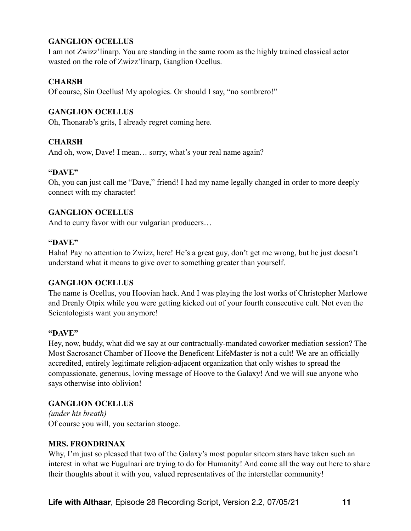# **GANGLION OCELLUS**

I am not Zwizz'linarp. You are standing in the same room as the highly trained classical actor wasted on the role of Zwizz'linarp, Ganglion Ocellus.

## **CHARSH**

Of course, Sin Ocellus! My apologies. Or should I say, "no sombrero!"

## **GANGLION OCELLUS**

Oh, Thonarab's grits, I already regret coming here.

## **CHARSH**

And oh, wow, Dave! I mean… sorry, what's your real name again?

#### **"DAVE"**

Oh, you can just call me "Dave," friend! I had my name legally changed in order to more deeply connect with my character!

## **GANGLION OCELLUS**

And to curry favor with our vulgarian producers…

#### **"DAVE"**

Haha! Pay no attention to Zwizz, here! He's a great guy, don't get me wrong, but he just doesn't understand what it means to give over to something greater than yourself.

## **GANGLION OCELLUS**

The name is Ocellus, you Hoovian hack. And I was playing the lost works of Christopher Marlowe and Drenly Otpix while you were getting kicked out of your fourth consecutive cult. Not even the Scientologists want you anymore!

## **"DAVE"**

Hey, now, buddy, what did we say at our contractually-mandated coworker mediation session? The Most Sacrosanct Chamber of Hoove the Beneficent LifeMaster is not a cult! We are an officially accredited, entirely legitimate religion-adjacent organization that only wishes to spread the compassionate, generous, loving message of Hoove to the Galaxy! And we will sue anyone who says otherwise into oblivion!

## **GANGLION OCELLUS**

*(under his breath)* Of course you will, you sectarian stooge.

## **MRS. FRONDRINAX**

Why, I'm just so pleased that two of the Galaxy's most popular sitcom stars have taken such an interest in what we Fugulnari are trying to do for Humanity! And come all the way out here to share their thoughts about it with you, valued representatives of the interstellar community!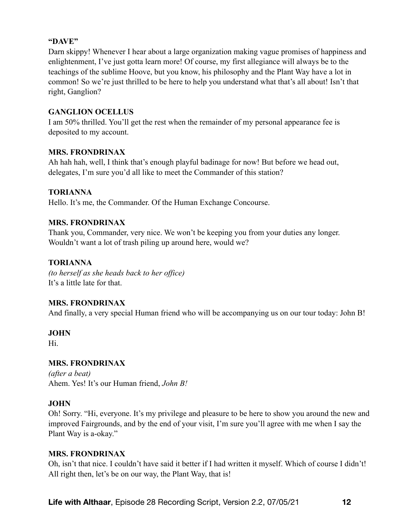## **"DAVE"**

Darn skippy! Whenever I hear about a large organization making vague promises of happiness and enlightenment, I've just gotta learn more! Of course, my first allegiance will always be to the teachings of the sublime Hoove, but you know, his philosophy and the Plant Way have a lot in common! So we're just thrilled to be here to help you understand what that's all about! Isn't that right, Ganglion?

## **GANGLION OCELLUS**

I am 50% thrilled. You'll get the rest when the remainder of my personal appearance fee is deposited to my account.

## **MRS. FRONDRINAX**

Ah hah hah, well, I think that's enough playful badinage for now! But before we head out, delegates, I'm sure you'd all like to meet the Commander of this station?

## **TORIANNA**

Hello. It's me, the Commander. Of the Human Exchange Concourse.

## **MRS. FRONDRINAX**

Thank you, Commander, very nice. We won't be keeping you from your duties any longer. Wouldn't want a lot of trash piling up around here, would we?

# **TORIANNA**

*(to herself as she heads back to her office)* It's a little late for that.

## **MRS. FRONDRINAX**

And finally, a very special Human friend who will be accompanying us on our tour today: John B!

## **JOHN**

Hi.

# **MRS. FRONDRINAX**

*(after a beat)* Ahem. Yes! It's our Human friend, *John B!*

# **JOHN**

Oh! Sorry. "Hi, everyone. It's my privilege and pleasure to be here to show you around the new and improved Fairgrounds, and by the end of your visit, I'm sure you'll agree with me when I say the Plant Way is a-okay."

## **MRS. FRONDRINAX**

Oh, isn't that nice. I couldn't have said it better if I had written it myself. Which of course I didn't! All right then, let's be on our way, the Plant Way, that is!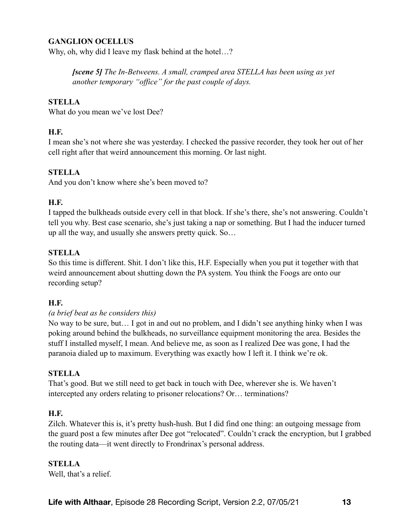## **GANGLION OCELLUS**

Why, oh, why did I leave my flask behind at the hotel...?

*[scene 5] The In-Betweens. A small, cramped area STELLA has been using as yet another temporary "office" for the past couple of days.* 

#### **STELLA**

What do you mean we've lost Dee?

#### **H.F.**

I mean she's not where she was yesterday. I checked the passive recorder, they took her out of her cell right after that weird announcement this morning. Or last night.

#### **STELLA**

And you don't know where she's been moved to?

#### **H.F.**

I tapped the bulkheads outside every cell in that block. If she's there, she's not answering. Couldn't tell you why. Best case scenario, she's just taking a nap or something. But I had the inducer turned up all the way, and usually she answers pretty quick. So…

#### **STELLA**

So this time is different. Shit. I don't like this, H.F. Especially when you put it together with that weird announcement about shutting down the PA system. You think the Foogs are onto our recording setup?

#### **H.F.**

#### *(a brief beat as he considers this)*

No way to be sure, but… I got in and out no problem, and I didn't see anything hinky when I was poking around behind the bulkheads, no surveillance equipment monitoring the area. Besides the stuff I installed myself, I mean. And believe me, as soon as I realized Dee was gone, I had the paranoia dialed up to maximum. Everything was exactly how I left it. I think we're ok.

#### **STELLA**

That's good. But we still need to get back in touch with Dee, wherever she is. We haven't intercepted any orders relating to prisoner relocations? Or… terminations?

#### **H.F.**

Zilch. Whatever this is, it's pretty hush-hush. But I did find one thing: an outgoing message from the guard post a few minutes after Dee got "relocated". Couldn't crack the encryption, but I grabbed the routing data—it went directly to Frondrinax's personal address.

## **STELLA**

Well, that's a relief.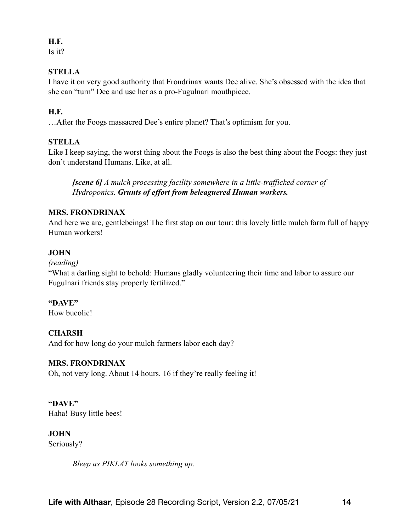# **H.F.**

Is it?

# **STELLA**

I have it on very good authority that Frondrinax wants Dee alive. She's obsessed with the idea that she can "turn" Dee and use her as a pro-Fugulnari mouthpiece.

# **H.F.**

…After the Foogs massacred Dee's entire planet? That's optimism for you.

# **STELLA**

Like I keep saying, the worst thing about the Foogs is also the best thing about the Foogs: they just don't understand Humans. Like, at all.

*[scene 6] A mulch processing facility somewhere in a little-trafficked corner of Hydroponics. Grunts of effort from beleaguered Human workers.*

# **MRS. FRONDRINAX**

And here we are, gentlebeings! The first stop on our tour: this lovely little mulch farm full of happy Human workers!

# **JOHN**

*(reading)* 

"What a darling sight to behold: Humans gladly volunteering their time and labor to assure our Fugulnari friends stay properly fertilized."

# **"DAVE"**

How bucolic!

# **CHARSH**

And for how long do your mulch farmers labor each day?

# **MRS. FRONDRINAX**

Oh, not very long. About 14 hours. 16 if they're really feeling it!

**"DAVE"**  Haha! Busy little bees!

**JOHN**  Seriously?

*Bleep as PIKLAT looks something up.*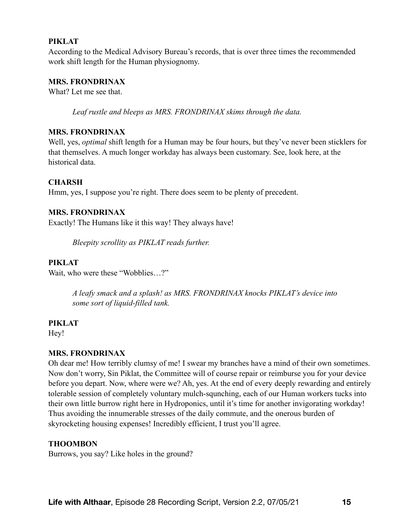#### **PIKLAT**

According to the Medical Advisory Bureau's records, that is over three times the recommended work shift length for the Human physiognomy.

#### **MRS. FRONDRINAX**

What? Let me see that.

*Leaf rustle and bleeps as MRS. FRONDRINAX skims through the data.* 

#### **MRS. FRONDRINAX**

Well, yes, *optimal* shift length for a Human may be four hours, but they've never been sticklers for that themselves. A much longer workday has always been customary. See, look here, at the historical data.

#### **CHARSH**

Hmm, yes, I suppose you're right. There does seem to be plenty of precedent.

#### **MRS. FRONDRINAX**

Exactly! The Humans like it this way! They always have!

*Bleepity scrollity as PIKLAT reads further.* 

#### **PIKLAT**

Wait, who were these "Wobblies…?"

*A leafy smack and a splash! as MRS. FRONDRINAX knocks PIKLAT's device into some sort of liquid-filled tank.* 

#### **PIKLAT**

Hey!

#### **MRS. FRONDRINAX**

Oh dear me! How terribly clumsy of me! I swear my branches have a mind of their own sometimes. Now don't worry, Sin Piklat, the Committee will of course repair or reimburse you for your device before you depart. Now, where were we? Ah, yes. At the end of every deeply rewarding and entirely tolerable session of completely voluntary mulch-squnching, each of our Human workers tucks into their own little burrow right here in Hydroponics, until it's time for another invigorating workday! Thus avoiding the innumerable stresses of the daily commute, and the onerous burden of skyrocketing housing expenses! Incredibly efficient, I trust you'll agree.

#### **THOOMBON**

Burrows, you say? Like holes in the ground?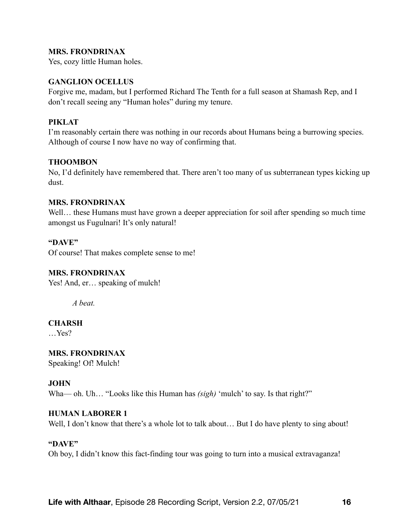Yes, cozy little Human holes.

#### **GANGLION OCELLUS**

Forgive me, madam, but I performed Richard The Tenth for a full season at Shamash Rep, and I don't recall seeing any "Human holes" during my tenure.

## **PIKLAT**

I'm reasonably certain there was nothing in our records about Humans being a burrowing species. Although of course I now have no way of confirming that.

#### **THOOMBON**

No, I'd definitely have remembered that. There aren't too many of us subterranean types kicking up dust.

#### **MRS. FRONDRINAX**

Well... these Humans must have grown a deeper appreciation for soil after spending so much time amongst us Fugulnari! It's only natural!

#### **"DAVE"**

Of course! That makes complete sense to me!

#### **MRS. FRONDRINAX**

Yes! And, er... speaking of mulch!

*A beat.* 

## **CHARSH**

…Yes?

**MRS. FRONDRINAX**  Speaking! Of! Mulch!

## **JOHN**

Wha— oh. Uh... "Looks like this Human has *(sigh)* 'mulch' to say. Is that right?"

#### **HUMAN LABORER 1**

Well, I don't know that there's a whole lot to talk about... But I do have plenty to sing about!

#### **"DAVE"**

Oh boy, I didn't know this fact-finding tour was going to turn into a musical extravaganza!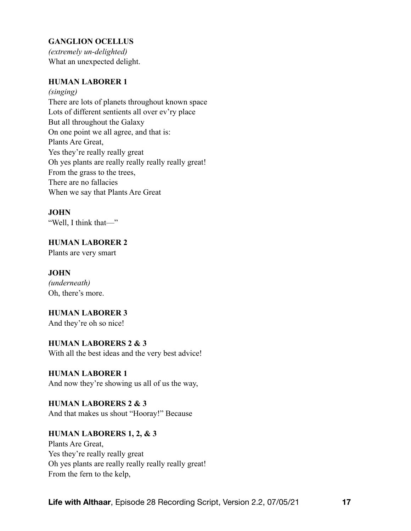# **GANGLION OCELLUS**

*(extremely un-delighted)* What an unexpected delight.

## **HUMAN LABORER 1**

*(singing)*  There are lots of planets throughout known space Lots of different sentients all over ev'ry place But all throughout the Galaxy On one point we all agree, and that is: Plants Are Great, Yes they're really really great Oh yes plants are really really really really great! From the grass to the trees, There are no fallacies When we say that Plants Are Great

## **JOHN**

"Well, I think that—"

## **HUMAN LABORER 2**

Plants are very smart

## **JOHN**

*(underneath)*  Oh, there's more.

## **HUMAN LABORER 3**

And they're oh so nice!

## **HUMAN LABORERS 2 & 3**

With all the best ideas and the very best advice!

## **HUMAN LABORER 1**

And now they're showing us all of us the way,

# **HUMAN LABORERS 2 & 3**

And that makes us shout "Hooray!" Because

# **HUMAN LABORERS 1, 2, & 3**

Plants Are Great, Yes they're really really great Oh yes plants are really really really really great! From the fern to the kelp,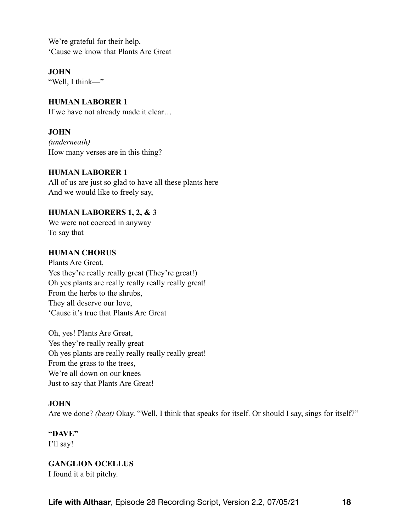We're grateful for their help, 'Cause we know that Plants Are Great

**JOHN** 

"Well, I think—"

## **HUMAN LABORER 1**

If we have not already made it clear…

## **JOHN**

*(underneath)*  How many verses are in this thing?

## **HUMAN LABORER 1**

All of us are just so glad to have all these plants here And we would like to freely say,

## **HUMAN LABORERS 1, 2, & 3**

We were not coerced in anyway To say that

## **HUMAN CHORUS**

Plants Are Great, Yes they're really really great (They're great!) Oh yes plants are really really really really great! From the herbs to the shrubs, They all deserve our love, 'Cause it's true that Plants Are Great

Oh, yes! Plants Are Great, Yes they're really really great Oh yes plants are really really really really great! From the grass to the trees, We're all down on our knees Just to say that Plants Are Great!

# **JOHN**

Are we done? *(beat)* Okay. "Well, I think that speaks for itself. Or should I say, sings for itself?"

# **"DAVE"**

I'll say!

# **GANGLION OCELLUS**

I found it a bit pitchy.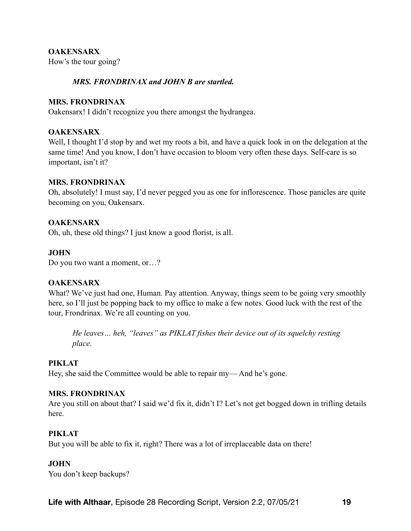## **OAKENSARX**

How's the tour going?

## *MRS. FRONDRINAX and JOHN B are startled.*

#### **MRS. FRONDRINAX**

Oakensarx! I didn't recognize you there amongst the hydrangea.

## **OAKENSARX**

Well, I thought I'd stop by and wet my roots a bit, and have a quick look in on the delegation at the same time! And you know, I don't have occasion to bloom very often these days. Self-care is so important, isn't it?

## **MRS. FRONDRINAX**

Oh, absolutely! I must say, I'd never pegged you as one for inflorescence. Those panicles are quite becoming on you, Oakensarx.

## **OAKENSARX**

Oh, uh, these old things? I just know a good florist, is all.

## **JOHN**

Do you two want a moment, or…?

## **OAKENSARX**

What? We've just had one, Human. Pay attention. Anyway, things seem to be going very smoothly here, so I'll just be popping back to my office to make a few notes. Good luck with the rest of the tour, Frondrinax. We're all counting on you.

*He leaves… heh, "leaves" as PIKLAT fishes their device out of its squelchy resting place.* 

## **PIKLAT**

Hey, she said the Committee would be able to repair my— And he's gone.

## **MRS. FRONDRINAX**

Are you still on about that? I said we'd fix it, didn't I? Let's not get bogged down in trifling details here.

## **PIKLAT**

But you will be able to fix it, right? There was a lot of irreplaceable data on there!

## **JOHN**

You don't keep backups?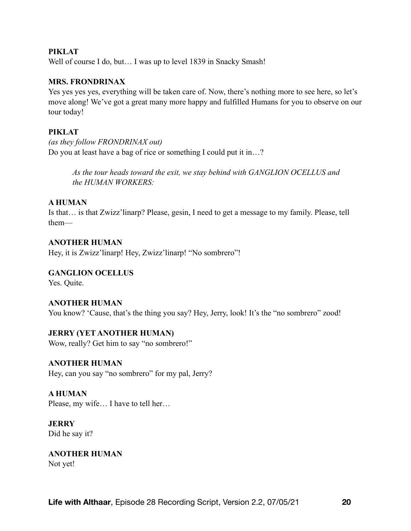#### **PIKLAT**

Well of course I do, but... I was up to level 1839 in Snacky Smash!

#### **MRS. FRONDRINAX**

Yes yes yes yes, everything will be taken care of. Now, there's nothing more to see here, so let's move along! We've got a great many more happy and fulfilled Humans for you to observe on our tour today!

#### **PIKLAT**

*(as they follow FRONDRINAX out)*  Do you at least have a bag of rice or something I could put it in…?

> *As the tour heads toward the exit, we stay behind with GANGLION OCELLUS and the HUMAN WORKERS:*

#### **A HUMAN**

Is that… is that Zwizz'linarp? Please, gesin, I need to get a message to my family. Please, tell them—

# **ANOTHER HUMAN**

Hey, it is Zwizz'linarp! Hey, Zwizz'linarp! "No sombrero"!

#### **GANGLION OCELLUS**

Yes. Quite.

#### **ANOTHER HUMAN**

You know? 'Cause, that's the thing you say? Hey, Jerry, look! It's the "no sombrero" zood!

# **JERRY (YET ANOTHER HUMAN)**

Wow, really? Get him to say "no sombrero!"

## **ANOTHER HUMAN**

Hey, can you say "no sombrero" for my pal, Jerry?

## **A HUMAN**

Please, my wife… I have to tell her…

#### **JERRY**  Did he say it?

**ANOTHER HUMAN**  Not yet!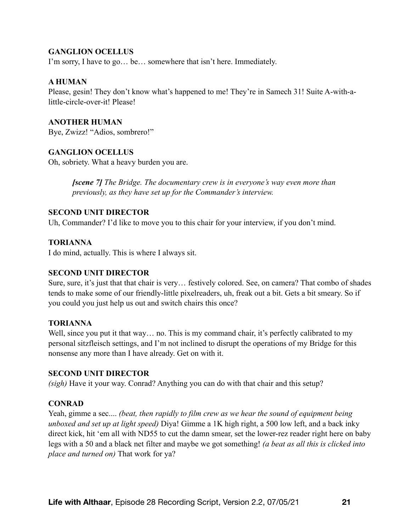## **GANGLION OCELLUS**

I'm sorry, I have to go… be… somewhere that isn't here. Immediately.

#### **A HUMAN**

Please, gesin! They don't know what's happened to me! They're in Samech 31! Suite A-with-alittle-circle-over-it! Please!

## **ANOTHER HUMAN**

Bye, Zwizz! "Adios, sombrero!"

## **GANGLION OCELLUS**

Oh, sobriety. What a heavy burden you are.

*[scene 7] The Bridge. The documentary crew is in everyone's way even more than previously, as they have set up for the Commander's interview.* 

## **SECOND UNIT DIRECTOR**

Uh, Commander? I'd like to move you to this chair for your interview, if you don't mind.

## **TORIANNA**

I do mind, actually. This is where I always sit.

## **SECOND UNIT DIRECTOR**

Sure, sure, it's just that that chair is very… festively colored. See, on camera? That combo of shades tends to make some of our friendly-little pixelreaders, uh, freak out a bit. Gets a bit smeary. So if you could you just help us out and switch chairs this once?

#### **TORIANNA**

Well, since you put it that way... no. This is my command chair, it's perfectly calibrated to my personal sitzfleisch settings, and I'm not inclined to disrupt the operations of my Bridge for this nonsense any more than I have already. Get on with it.

#### **SECOND UNIT DIRECTOR**

*(sigh)* Have it your way. Conrad? Anything you can do with that chair and this setup?

## **CONRAD**

Yeah, gimme a sec.... *(beat, then rapidly to film crew as we hear the sound of equipment being unboxed and set up at light speed)* Diya! Gimme a 1K high right, a 500 low left, and a back inky direct kick, hit 'em all with ND55 to cut the damn smear, set the lower-rez reader right here on baby legs with a 50 and a black net filter and maybe we got something! *(a beat as all this is clicked into place and turned on)* That work for ya?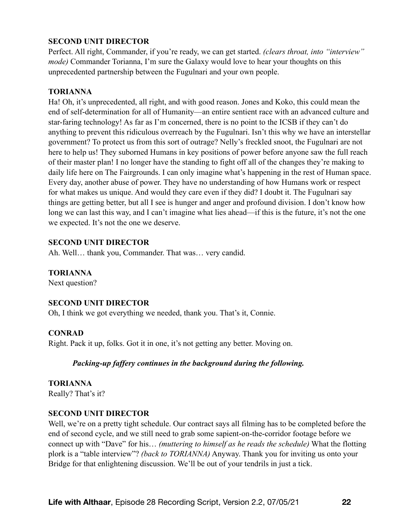## **SECOND UNIT DIRECTOR**

Perfect. All right, Commander, if you're ready, we can get started. *(clears throat, into "interview" mode)* Commander Torianna, I'm sure the Galaxy would love to hear your thoughts on this unprecedented partnership between the Fugulnari and your own people.

#### **TORIANNA**

Ha! Oh, it's unprecedented, all right, and with good reason. Jones and Koko, this could mean the end of self-determination for all of Humanity—an entire sentient race with an advanced culture and star-faring technology! As far as I'm concerned, there is no point to the ICSB if they can't do anything to prevent this ridiculous overreach by the Fugulnari. Isn't this why we have an interstellar government? To protect us from this sort of outrage? Nelly's freckled snoot, the Fugulnari are not here to help us! They suborned Humans in key positions of power before anyone saw the full reach of their master plan! I no longer have the standing to fight off all of the changes they're making to daily life here on The Fairgrounds. I can only imagine what's happening in the rest of Human space. Every day, another abuse of power. They have no understanding of how Humans work or respect for what makes us unique. And would they care even if they did? I doubt it. The Fugulnari say things are getting better, but all I see is hunger and anger and profound division. I don't know how long we can last this way, and I can't imagine what lies ahead—if this is the future, it's not the one we expected. It's not the one we deserve.

## **SECOND UNIT DIRECTOR**

Ah. Well… thank you, Commander. That was… very candid.

## **TORIANNA**

Next question?

## **SECOND UNIT DIRECTOR**

Oh, I think we got everything we needed, thank you. That's it, Connie.

## **CONRAD**

Right. Pack it up, folks. Got it in one, it's not getting any better. Moving on.

## *Packing-up faffery continues in the background during the following.*

**TORIANNA**  Really? That's it?

## **SECOND UNIT DIRECTOR**

Well, we're on a pretty tight schedule. Our contract says all filming has to be completed before the end of second cycle, and we still need to grab some sapient-on-the-corridor footage before we connect up with "Dave" for his… *(muttering to himself as he reads the schedule)* What the flotting plork is a "table interview"? *(back to TORIANNA)* Anyway. Thank you for inviting us onto your Bridge for that enlightening discussion. We'll be out of your tendrils in just a tick.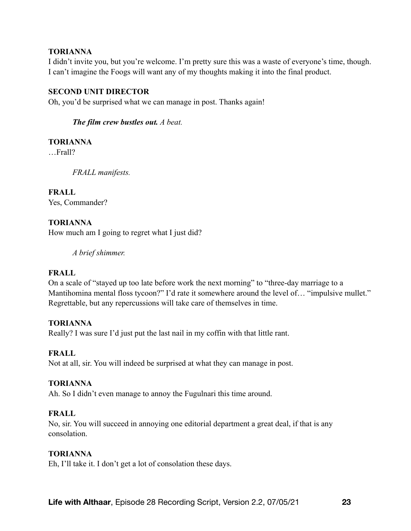## **TORIANNA**

I didn't invite you, but you're welcome. I'm pretty sure this was a waste of everyone's time, though. I can't imagine the Foogs will want any of my thoughts making it into the final product.

## **SECOND UNIT DIRECTOR**

Oh, you'd be surprised what we can manage in post. Thanks again!

*The film crew bustles out. A beat.* 

## **TORIANNA**

…Frall?

*FRALL manifests.* 

# **FRALL**

Yes, Commander?

# **TORIANNA**

How much am I going to regret what I just did?

*A brief shimmer.* 

## **FRALL**

On a scale of "stayed up too late before work the next morning" to "three-day marriage to a Mantihomina mental floss tycoon?" I'd rate it somewhere around the level of… "impulsive mullet." Regrettable, but any repercussions will take care of themselves in time.

## **TORIANNA**

Really? I was sure I'd just put the last nail in my coffin with that little rant.

# **FRALL**

Not at all, sir. You will indeed be surprised at what they can manage in post.

## **TORIANNA**

Ah. So I didn't even manage to annoy the Fugulnari this time around.

## **FRALL**

No, sir. You will succeed in annoying one editorial department a great deal, if that is any consolation.

## **TORIANNA**

Eh, I'll take it. I don't get a lot of consolation these days.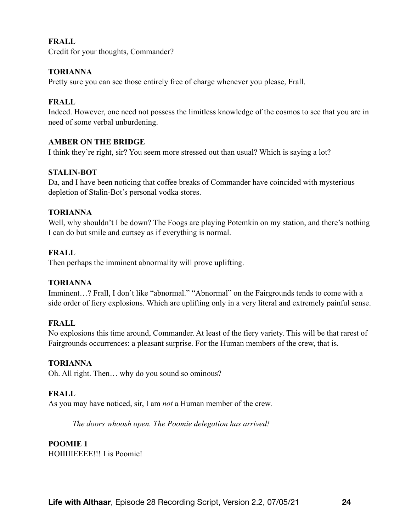## **FRALL**

Credit for your thoughts, Commander?

## **TORIANNA**

Pretty sure you can see those entirely free of charge whenever you please, Frall.

## **FRALL**

Indeed. However, one need not possess the limitless knowledge of the cosmos to see that you are in need of some verbal unburdening.

## **AMBER ON THE BRIDGE**

I think they're right, sir? You seem more stressed out than usual? Which is saying a lot?

## **STALIN-BOT**

Da, and I have been noticing that coffee breaks of Commander have coincided with mysterious depletion of Stalin-Bot's personal vodka stores.

## **TORIANNA**

Well, why shouldn't I be down? The Foogs are playing Potemkin on my station, and there's nothing I can do but smile and curtsey as if everything is normal.

## **FRALL**

Then perhaps the imminent abnormality will prove uplifting.

## **TORIANNA**

Imminent...? Frall, I don't like "abnormal." "Abnormal" on the Fairgrounds tends to come with a side order of fiery explosions. Which are uplifting only in a very literal and extremely painful sense.

## **FRALL**

No explosions this time around, Commander. At least of the fiery variety. This will be that rarest of Fairgrounds occurrences: a pleasant surprise. For the Human members of the crew, that is.

## **TORIANNA**

Oh. All right. Then… why do you sound so ominous?

# **FRALL**

As you may have noticed, sir, I am *not* a Human member of the crew.

*The doors whoosh open. The Poomie delegation has arrived!* 

# **POOMIE 1**

HOIIIIIEEEE!!! I is Poomie!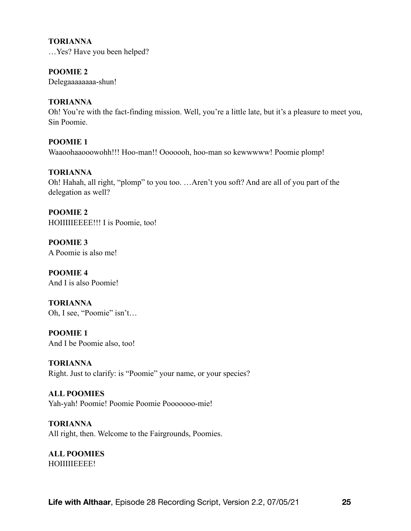#### **TORIANNA**

…Yes? Have you been helped?

## **POOMIE 2**

Delegaaaaaaaa-shun!

## **TORIANNA**

Oh! You're with the fact-finding mission. Well, you're a little late, but it's a pleasure to meet you, Sin Poomie.

## **POOMIE 1**  Waaoohaaooowohh!!! Hoo-man!! Ooooooh, hoo-man so kewwwww! Poomie plomp!

## **TORIANNA**

Oh! Hahah, all right, "plomp" to you too. …Aren't you soft? And are all of you part of the delegation as well?

**POOMIE 2**  HOIIIIIEEEE!!! I is Poomie, too!

**POOMIE 3**  A Poomie is also me!

**POOMIE 4**  And I is also Poomie!

**TORIANNA**  Oh, I see, "Poomie" isn't…

**POOMIE 1**  And I be Poomie also, too!

**TORIANNA**  Right. Just to clarify: is "Poomie" your name, or your species?

**ALL POOMIES**  Yah-yah! Poomie! Poomie Poomie Pooooooo-mie!

**TORIANNA**  All right, then. Welcome to the Fairgrounds, Poomies.

**ALL POOMIES**  HOIIIIIEEEE!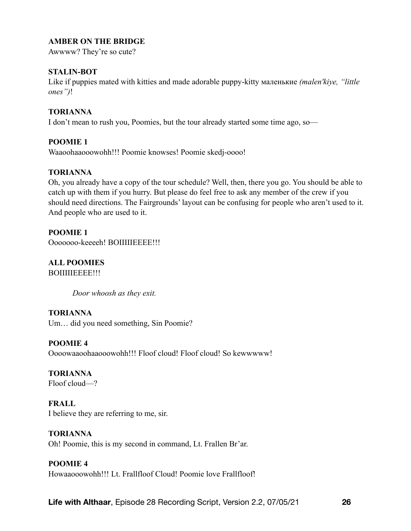## **AMBER ON THE BRIDGE**

Awwww? They're so cute?

## **STALIN-BOT**

Like if puppies mated with kitties and made adorable puppy-kitty маленькие *(malen'kiye, "little ones")*!

#### **TORIANNA**

I don't mean to rush you, Poomies, but the tour already started some time ago, so—

#### **POOMIE 1**

Waaoohaaooowohh!!! Poomie knowses! Poomie skedj-oooo!

#### **TORIANNA**

Oh, you already have a copy of the tour schedule? Well, then, there you go. You should be able to catch up with them if you hurry. But please do feel free to ask any member of the crew if you should need directions. The Fairgrounds' layout can be confusing for people who aren't used to it. And people who are used to it.

#### **POOMIE 1**

Ooooooo-keeeeh! BOIIIIIEEEE!!!

# **ALL POOMIES**

BOIIIIIEEEE!!!

*Door whoosh as they exit.* 

#### **TORIANNA**

Um… did you need something, Sin Poomie?

## **POOMIE 4**

Oooowaaoohaaooowohh!!! Floof cloud! Floof cloud! So kewwwww!

# **TORIANNA**

Floof cloud—?

#### **FRALL**

I believe they are referring to me, sir.

## **TORIANNA**

Oh! Poomie, this is my second in command, Lt. Frallen Br'ar.

## **POOMIE 4**

Howaaooowohh!!! Lt. Frallfloof Cloud! Poomie love Frallfloof!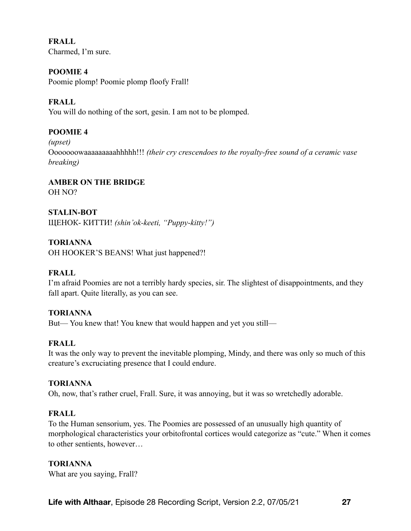**FRALL**  Charmed, I'm sure.

# **POOMIE 4**

Poomie plomp! Poomie plomp floofy Frall!

## **FRALL**

You will do nothing of the sort, gesin. I am not to be plomped.

## **POOMIE 4**

*(upset)* 

Ooooooowaaaaaaaaahhhhh!!! *(their cry crescendoes to the royalty-free sound of a ceramic vase breaking)*

#### **AMBER ON THE BRIDGE**  OH NO?

**STALIN-BOT**  ЩЕНОК- КИТТИ! *(shin'ok-keeti, "Puppy-kitty!")*

## **TORIANNA**

OH HOOKER'S BEANS! What just happened?!

## **FRALL**

I'm afraid Poomies are not a terribly hardy species, sir. The slightest of disappointments, and they fall apart. Quite literally, as you can see.

#### **TORIANNA**

But— You knew that! You knew that would happen and yet you still—

## **FRALL**

It was the only way to prevent the inevitable plomping, Mindy, and there was only so much of this creature's excruciating presence that I could endure.

## **TORIANNA**

Oh, now, that's rather cruel, Frall. Sure, it was annoying, but it was so wretchedly adorable.

## **FRALL**

To the Human sensorium, yes. The Poomies are possessed of an unusually high quantity of morphological characteristics your orbitofrontal cortices would categorize as "cute." When it comes to other sentients, however…

## **TORIANNA**

What are you saying, Frall?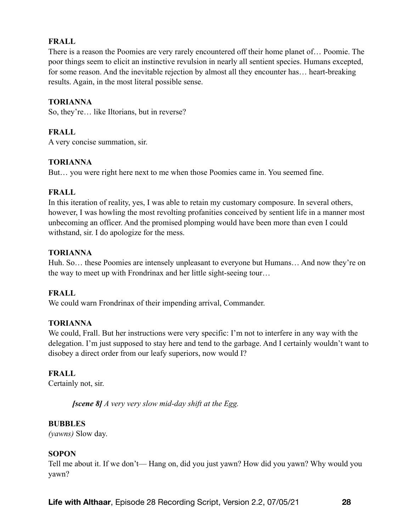## **FRALL**

There is a reason the Poomies are very rarely encountered off their home planet of… Poomie. The poor things seem to elicit an instinctive revulsion in nearly all sentient species. Humans excepted, for some reason. And the inevitable rejection by almost all they encounter has… heart-breaking results. Again, in the most literal possible sense.

#### **TORIANNA**

So, they're… like Iltorians, but in reverse?

## **FRALL**

A very concise summation, sir.

## **TORIANNA**

But… you were right here next to me when those Poomies came in. You seemed fine.

#### **FRALL**

In this iteration of reality, yes, I was able to retain my customary composure. In several others, however, I was howling the most revolting profanities conceived by sentient life in a manner most unbecoming an officer. And the promised plomping would have been more than even I could withstand, sir. I do apologize for the mess.

#### **TORIANNA**

Huh. So… these Poomies are intensely unpleasant to everyone but Humans… And now they're on the way to meet up with Frondrinax and her little sight-seeing tour…

## **FRALL**

We could warn Frondrinax of their impending arrival, Commander.

#### **TORIANNA**

We could, Frall. But her instructions were very specific: I'm not to interfere in any way with the delegation. I'm just supposed to stay here and tend to the garbage. And I certainly wouldn't want to disobey a direct order from our leafy superiors, now would I?

## **FRALL**

Certainly not, sir.

*[scene 8] A very very slow mid-day shift at the Egg.* 

#### **BUBBLES**

*(yawns)* Slow day.

## **SOPON**

Tell me about it. If we don't— Hang on, did you just yawn? How did you yawn? Why would you yawn?

**Life with Althaar**, Episode 28 Recording Script, Version 2.2, 07/05/21 **28**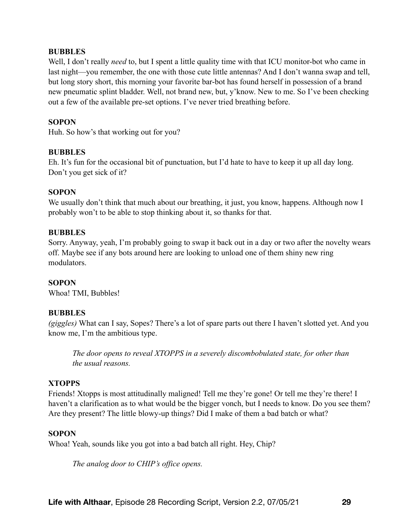#### **BUBBLES**

Well, I don't really *need* to, but I spent a little quality time with that ICU monitor-bot who came in last night—you remember, the one with those cute little antennas? And I don't wanna swap and tell, but long story short, this morning your favorite bar-bot has found herself in possession of a brand new pneumatic splint bladder. Well, not brand new, but, y'know. New to me. So I've been checking out a few of the available pre-set options. I've never tried breathing before.

#### **SOPON**

Huh. So how's that working out for you?

#### **BUBBLES**

Eh. It's fun for the occasional bit of punctuation, but I'd hate to have to keep it up all day long. Don't you get sick of it?

#### **SOPON**

We usually don't think that much about our breathing, it just, you know, happens. Although now I probably won't to be able to stop thinking about it, so thanks for that.

#### **BUBBLES**

Sorry. Anyway, yeah, I'm probably going to swap it back out in a day or two after the novelty wears off. Maybe see if any bots around here are looking to unload one of them shiny new ring modulators.

## **SOPON**

Whoa! TMI, Bubbles!

## **BUBBLES**

*(giggles)* What can I say, Sopes? There's a lot of spare parts out there I haven't slotted yet. And you know me, I'm the ambitious type.

*The door opens to reveal XTOPPS in a severely discombobulated state, for other than the usual reasons.* 

## **XTOPPS**

Friends! Xtopps is most attitudinally maligned! Tell me they're gone! Or tell me they're there! I haven't a clarification as to what would be the bigger vonch, but I needs to know. Do you see them? Are they present? The little blowy-up things? Did I make of them a bad batch or what?

#### **SOPON**

Whoa! Yeah, sounds like you got into a bad batch all right. Hey, Chip?

*The analog door to CHIP's office opens.*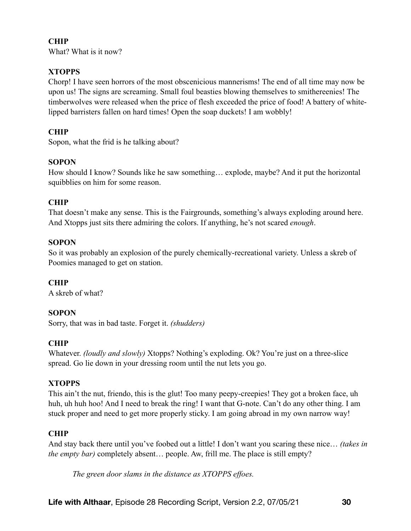# **CHIP**

What? What is it now?

# **XTOPPS**

Chorp! I have seen horrors of the most obscenicious mannerisms! The end of all time may now be upon us! The signs are screaming. Small foul beasties blowing themselves to smithereenies! The timberwolves were released when the price of flesh exceeded the price of food! A battery of whitelipped barristers fallen on hard times! Open the soap duckets! I am wobbly!

# **CHIP**

Sopon, what the frid is he talking about?

# **SOPON**

How should I know? Sounds like he saw something… explode, maybe? And it put the horizontal squibblies on him for some reason.

# **CHIP**

That doesn't make any sense. This is the Fairgrounds, something's always exploding around here. And Xtopps just sits there admiring the colors. If anything, he's not scared *enough*.

# **SOPON**

So it was probably an explosion of the purely chemically-recreational variety. Unless a skreb of Poomies managed to get on station.

# **CHIP**

A skreb of what?

# **SOPON**

Sorry, that was in bad taste. Forget it. *(shudders)*

# **CHIP**

Whatever. *(loudly and slowly)* Xtopps? Nothing's exploding. Ok? You're just on a three-slice spread. Go lie down in your dressing room until the nut lets you go.

# **XTOPPS**

This ain't the nut, friendo, this is the glut! Too many peepy-creepies! They got a broken face, uh huh, uh huh hoo! And I need to break the ring! I want that G-note. Can't do any other thing. I am stuck proper and need to get more properly sticky. I am going abroad in my own narrow way!

# **CHIP**

And stay back there until you've foobed out a little! I don't want you scaring these nice… *(takes in the empty bar)* completely absent… people. Aw, frill me. The place is still empty?

*The green door slams in the distance as XTOPPS effoes.*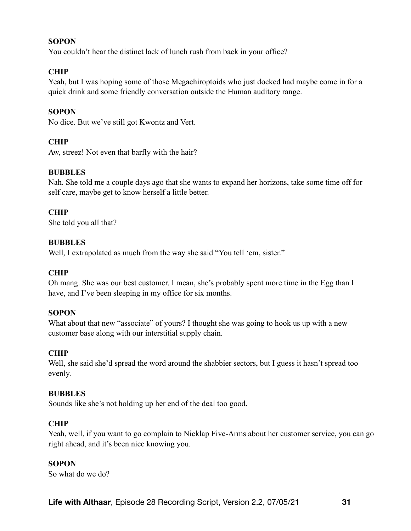#### **SOPON**

You couldn't hear the distinct lack of lunch rush from back in your office?

## **CHIP**

Yeah, but I was hoping some of those Megachiroptoids who just docked had maybe come in for a quick drink and some friendly conversation outside the Human auditory range.

#### **SOPON**

No dice. But we've still got Kwontz and Vert.

## **CHIP**

Aw, streez! Not even that barfly with the hair?

#### **BUBBLES**

Nah. She told me a couple days ago that she wants to expand her horizons, take some time off for self care, maybe get to know herself a little better.

#### **CHIP**

She told you all that?

#### **BUBBLES**

Well, I extrapolated as much from the way she said "You tell 'em, sister."

## **CHIP**

Oh mang. She was our best customer. I mean, she's probably spent more time in the Egg than I have, and I've been sleeping in my office for six months.

#### **SOPON**

What about that new "associate" of yours? I thought she was going to hook us up with a new customer base along with our interstitial supply chain.

## **CHIP**

Well, she said she'd spread the word around the shabbier sectors, but I guess it hasn't spread too evenly.

#### **BUBBLES**

Sounds like she's not holding up her end of the deal too good.

## **CHIP**

Yeah, well, if you want to go complain to Nicklap Five-Arms about her customer service, you can go right ahead, and it's been nice knowing you.

#### **SOPON**

So what do we do?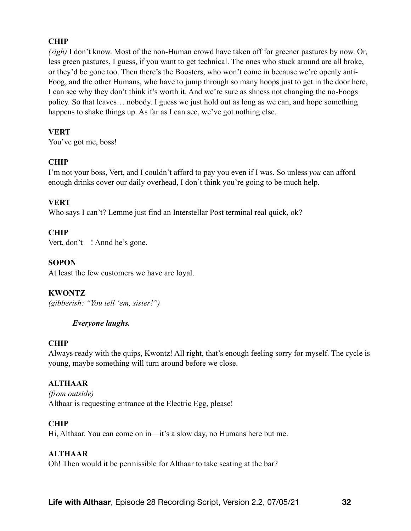# **CHIP**

*(sigh)* I don't know. Most of the non-Human crowd have taken off for greener pastures by now. Or, less green pastures, I guess, if you want to get technical. The ones who stuck around are all broke, or they'd be gone too. Then there's the Boosters, who won't come in because we're openly anti-Foog, and the other Humans, who have to jump through so many hoops just to get in the door here, I can see why they don't think it's worth it. And we're sure as shness not changing the no-Foogs policy. So that leaves… nobody. I guess we just hold out as long as we can, and hope something happens to shake things up. As far as I can see, we've got nothing else.

## **VERT**

You've got me, boss!

# **CHIP**

I'm not your boss, Vert, and I couldn't afford to pay you even if I was. So unless *you* can afford enough drinks cover our daily overhead, I don't think you're going to be much help.

## **VERT**

Who says I can't? Lemme just find an Interstellar Post terminal real quick, ok?

## **CHIP**

Vert, don't—! Annd he's gone.

## **SOPON**

At least the few customers we have are loyal.

# **KWONTZ**

*(gibberish: "You tell 'em, sister!")* 

## *Everyone laughs.*

## **CHIP**

Always ready with the quips, Kwontz! All right, that's enough feeling sorry for myself. The cycle is young, maybe something will turn around before we close.

# **ALTHAAR**

*(from outside)*  Althaar is requesting entrance at the Electric Egg, please!

## **CHIP**

Hi, Althaar. You can come on in—it's a slow day, no Humans here but me.

## **ALTHAAR**

Oh! Then would it be permissible for Althaar to take seating at the bar?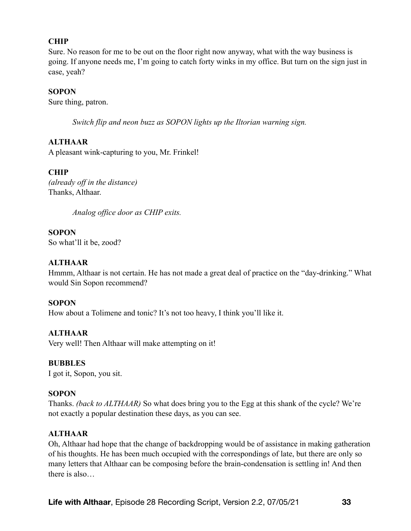## **CHIP**

Sure. No reason for me to be out on the floor right now anyway, what with the way business is going. If anyone needs me, I'm going to catch forty winks in my office. But turn on the sign just in case, yeah?

## **SOPON**

Sure thing, patron.

*Switch flip and neon buzz as SOPON lights up the Iltorian warning sign.* 

## **ALTHAAR**

A pleasant wink-capturing to you, Mr. Frinkel!

## **CHIP**

*(already off in the distance)* Thanks, Althaar.

*Analog office door as CHIP exits.*

**SOPON**  So what'll it be, zood?

## **ALTHAAR**

Hmmm, Althaar is not certain. He has not made a great deal of practice on the "day-drinking." What would Sin Sopon recommend?

## **SOPON**

How about a Tolimene and tonic? It's not too heavy, I think you'll like it.

## **ALTHAAR**

Very well! Then Althaar will make attempting on it!

## **BUBBLES**

I got it, Sopon, you sit.

## **SOPON**

Thanks. *(back to ALTHAAR)* So what does bring you to the Egg at this shank of the cycle? We're not exactly a popular destination these days, as you can see.

## **ALTHAAR**

Oh, Althaar had hope that the change of backdropping would be of assistance in making gatheration of his thoughts. He has been much occupied with the correspondings of late, but there are only so many letters that Althaar can be composing before the brain-condensation is settling in! And then there is also…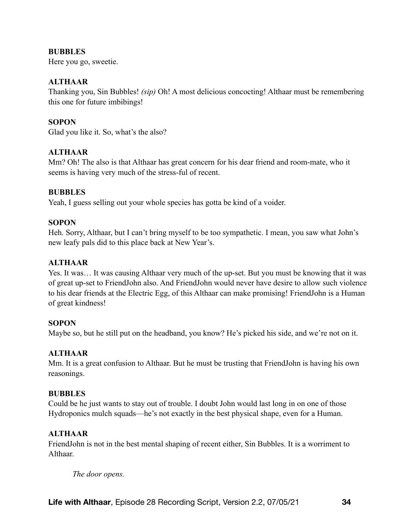## **BUBBLES**

Here you go, sweetie.

## **ALTHAAR**

Thanking you, Sin Bubbles! *(sip)* Oh! A most delicious concocting! Althaar must be remembering this one for future imbibings!

## **SOPON**

Glad you like it. So, what's the also?

## **ALTHAAR**

Mm? Oh! The also is that Althaar has great concern for his dear friend and room-mate, who it seems is having very much of the stress-ful of recent.

## **BUBBLES**

Yeah, I guess selling out your whole species has gotta be kind of a voider.

## **SOPON**

Heh. Sorry, Althaar, but I can't bring myself to be too sympathetic. I mean, you saw what John's new leafy pals did to this place back at New Year's.

# **ALTHAAR**

Yes. It was… It was causing Althaar very much of the up-set. But you must be knowing that it was of great up-set to FriendJohn also. And FriendJohn would never have desire to allow such violence to his dear friends at the Electric Egg, of this Althaar can make promising! FriendJohn is a Human of great kindness!

## **SOPON**

Maybe so, but he still put on the headband, you know? He's picked his side, and we're not on it.

# **ALTHAAR**

Mm. It is a great confusion to Althaar. But he must be trusting that FriendJohn is having his own reasonings.

## **BUBBLES**

Could be he just wants to stay out of trouble. I doubt John would last long in on one of those Hydroponics mulch squads—he's not exactly in the best physical shape, even for a Human.

# **ALTHAAR**

FriendJohn is not in the best mental shaping of recent either, Sin Bubbles. It is a worriment to Althaar.

*The door opens.*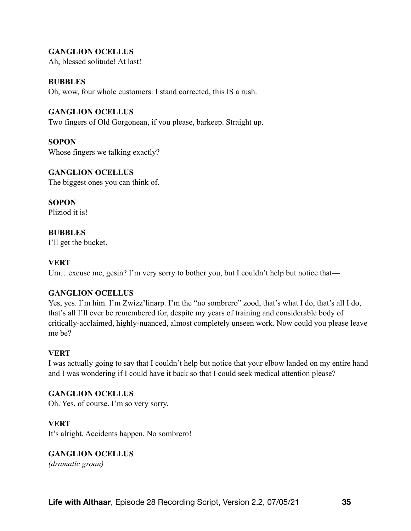## **GANGLION OCELLUS**

Ah, blessed solitude! At last!

#### **BUBBLES**

Oh, wow, four whole customers. I stand corrected, this IS a rush.

#### **GANGLION OCELLUS**

Two fingers of Old Gorgonean, if you please, barkeep. Straight up.

#### **SOPON**

Whose fingers we talking exactly?

## **GANGLION OCELLUS**

The biggest ones you can think of.

**SOPON**  Pliziod it is!

#### **BUBBLES**

I'll get the bucket.

#### **VERT**

Um...excuse me, gesin? I'm very sorry to bother you, but I couldn't help but notice that—

## **GANGLION OCELLUS**

Yes, yes. I'm him. I'm Zwizz'linarp. I'm the "no sombrero" zood, that's what I do, that's all I do, that's all I'll ever be remembered for, despite my years of training and considerable body of critically-acclaimed, highly-nuanced, almost completely unseen work. Now could you please leave me be?

#### **VERT**

I was actually going to say that I couldn't help but notice that your elbow landed on my entire hand and I was wondering if I could have it back so that I could seek medical attention please?

#### **GANGLION OCELLUS**

Oh. Yes, of course. I'm so very sorry.

#### **VERT**

It's alright. Accidents happen. No sombrero!

# **GANGLION OCELLUS**

*(dramatic groan)*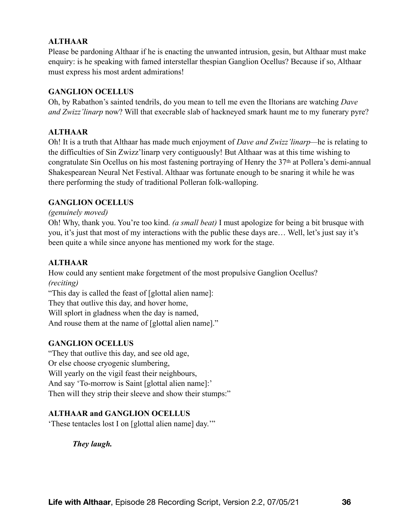# **ALTHAAR**

Please be pardoning Althaar if he is enacting the unwanted intrusion, gesin, but Althaar must make enquiry: is he speaking with famed interstellar thespian Ganglion Ocellus? Because if so, Althaar must express his most ardent admirations!

## **GANGLION OCELLUS**

Oh, by Rabathon's sainted tendrils, do you mean to tell me even the Iltorians are watching *Dave and Zwizz'linarp* now? Will that execrable slab of hackneyed smark haunt me to my funerary pyre?

## **ALTHAAR**

Oh! It is a truth that Althaar has made much enjoyment of *Dave and Zwizz'linarp—*he is relating to the difficulties of Sin Zwizz'linarp very contiguously! But Althaar was at this time wishing to congratulate Sin Ocellus on his most fastening portraying of Henry the 37th at Pollera's demi-annual Shakespearean Neural Net Festival. Althaar was fortunate enough to be snaring it while he was there performing the study of traditional Polleran folk-walloping.

## **GANGLION OCELLUS**

*(genuinely moved)* 

Oh! Why, thank you. You're too kind. *(a small beat)* I must apologize for being a bit brusque with you, it's just that most of my interactions with the public these days are… Well, let's just say it's been quite a while since anyone has mentioned my work for the stage.

# **ALTHAAR**

How could any sentient make forgetment of the most propulsive Ganglion Ocellus? *(reciting)* 

"This day is called the feast of [glottal alien name]:

They that outlive this day, and hover home,

Will splort in gladness when the day is named,

And rouse them at the name of [glottal alien name]."

## **GANGLION OCELLUS**

"They that outlive this day, and see old age, Or else choose cryogenic slumbering, Will yearly on the vigil feast their neighbours, And say 'To-morrow is Saint [glottal alien name]:' Then will they strip their sleeve and show their stumps:"

## **ALTHAAR and GANGLION OCELLUS**

'These tentacles lost I on [glottal alien name] day.'"

*They laugh.*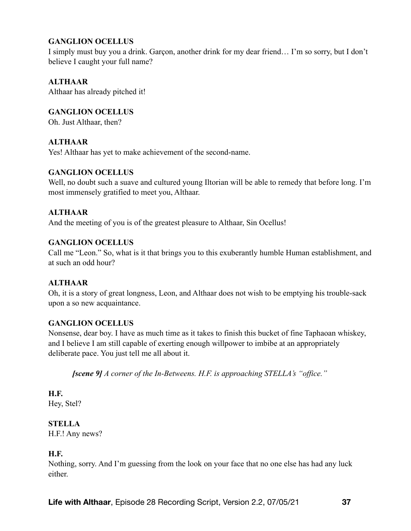# **GANGLION OCELLUS**

I simply must buy you a drink. Garçon, another drink for my dear friend… I'm so sorry, but I don't believe I caught your full name?

# **ALTHAAR**

Althaar has already pitched it!

**GANGLION OCELLUS** 

Oh. Just Althaar, then?

## **ALTHAAR**

Yes! Althaar has yet to make achievement of the second-name.

## **GANGLION OCELLUS**

Well, no doubt such a suave and cultured young Iltorian will be able to remedy that before long. I'm most immensely gratified to meet you, Althaar.

## **ALTHAAR**

And the meeting of you is of the greatest pleasure to Althaar, Sin Ocellus!

## **GANGLION OCELLUS**

Call me "Leon." So, what is it that brings you to this exuberantly humble Human establishment, and at such an odd hour?

## **ALTHAAR**

Oh, it is a story of great longness, Leon, and Althaar does not wish to be emptying his trouble-sack upon a so new acquaintance.

## **GANGLION OCELLUS**

Nonsense, dear boy. I have as much time as it takes to finish this bucket of fine Taphaoan whiskey, and I believe I am still capable of exerting enough willpower to imbibe at an appropriately deliberate pace. You just tell me all about it.

*[scene 9] A corner of the In-Betweens. H.F. is approaching STELLA's "office."* 

**H.F.**  Hey, Stel?

**STELLA** 

H.F.! Any news?

## **H.F.**

Nothing, sorry. And I'm guessing from the look on your face that no one else has had any luck either.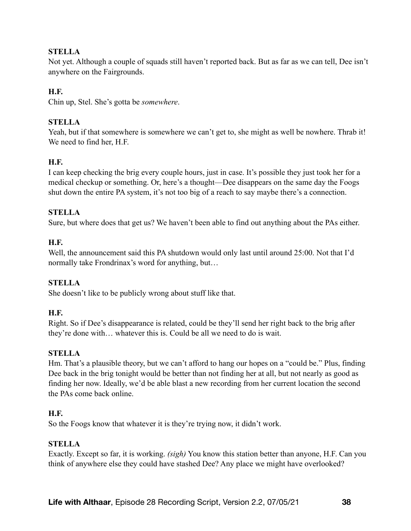# **STELLA**

Not yet. Although a couple of squads still haven't reported back. But as far as we can tell, Dee isn't anywhere on the Fairgrounds.

# **H.F.**

Chin up, Stel. She's gotta be *somewhere*.

## **STELLA**

Yeah, but if that somewhere is somewhere we can't get to, she might as well be nowhere. Thrab it! We need to find her, H.F.

## **H.F.**

I can keep checking the brig every couple hours, just in case. It's possible they just took her for a medical checkup or something. Or, here's a thought—Dee disappears on the same day the Foogs shut down the entire PA system, it's not too big of a reach to say maybe there's a connection.

## **STELLA**

Sure, but where does that get us? We haven't been able to find out anything about the PAs either.

## **H.F.**

Well, the announcement said this PA shutdown would only last until around 25:00. Not that I'd normally take Frondrinax's word for anything, but…

## **STELLA**

She doesn't like to be publicly wrong about stuff like that.

## **H.F.**

Right. So if Dee's disappearance is related, could be they'll send her right back to the brig after they're done with… whatever this is. Could be all we need to do is wait.

## **STELLA**

Hm. That's a plausible theory, but we can't afford to hang our hopes on a "could be." Plus, finding Dee back in the brig tonight would be better than not finding her at all, but not nearly as good as finding her now. Ideally, we'd be able blast a new recording from her current location the second the PAs come back online.

## **H.F.**

So the Foogs know that whatever it is they're trying now, it didn't work.

## **STELLA**

Exactly. Except so far, it is working. *(sigh)* You know this station better than anyone, H.F. Can you think of anywhere else they could have stashed Dee? Any place we might have overlooked?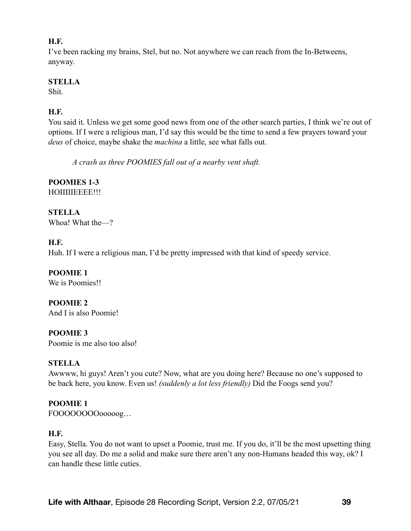## **H.F.**

I've been racking my brains, Stel, but no. Not anywhere we can reach from the In-Betweens, anyway.

## **STELLA**

Shit.

# **H.F.**

You said it. Unless we get some good news from one of the other search parties, I think we're out of options. If I were a religious man, I'd say this would be the time to send a few prayers toward your *deus* of choice, maybe shake the *machina* a little, see what falls out.

*A crash as three POOMIES fall out of a nearby vent shaft.* 

# **POOMIES 1-3**

HOIIIIIEEEE!!!

**STELLA**  Whoa! What the—?

# **H.F.**

Huh. If I were a religious man, I'd be pretty impressed with that kind of speedy service.

# **POOMIE 1**

We is Poomies!!

**POOMIE 2**  And I is also Poomie!

**POOMIE 3** 

Poomie is me also too also!

# **STELLA**

Awwww, hi guys! Aren't you cute? Now, what are you doing here? Because no one's supposed to be back here, you know. Even us! *(suddenly a lot less friendly)* Did the Foogs send you?

# **POOMIE 1**

FOOOOOOOOooooog…

# **H.F.**

Easy, Stella. You do not want to upset a Poomie, trust me. If you do, it'll be the most upsetting thing you see all day. Do me a solid and make sure there aren't any non-Humans headed this way, ok? I can handle these little cuties.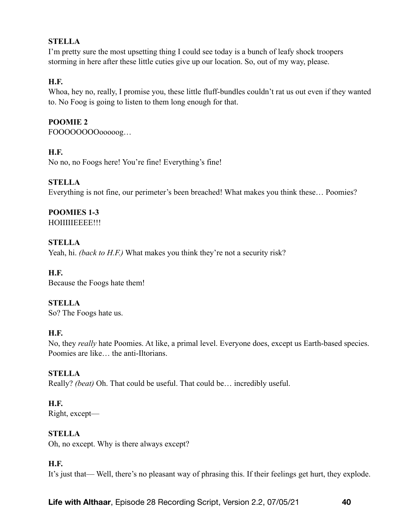# **STELLA**

I'm pretty sure the most upsetting thing I could see today is a bunch of leafy shock troopers storming in here after these little cuties give up our location. So, out of my way, please.

## **H.F.**

Whoa, hey no, really, I promise you, these little fluff-bundles couldn't rat us out even if they wanted to. No Foog is going to listen to them long enough for that.

## **POOMIE 2**

FOOOOOOOOooooog…

## **H.F.**

No no, no Foogs here! You're fine! Everything's fine!

## **STELLA**

Everything is not fine, our perimeter's been breached! What makes you think these… Poomies?

# **POOMIES 1-3**

HOIIIIIEEEE!!!

## **STELLA**

Yeah, hi. *(back to H.F.)* What makes you think they're not a security risk?

## **H.F.**

Because the Foogs hate them!

## **STELLA**

So? The Foogs hate us.

## **H.F.**

No, they *really* hate Poomies. At like, a primal level. Everyone does, except us Earth-based species. Poomies are like… the anti-Iltorians.

## **STELLA**

Really? *(beat)* Oh. That could be useful. That could be… incredibly useful.

## **H.F.**

Right, except—

## **STELLA**

Oh, no except. Why is there always except?

## **H.F.**

It's just that— Well, there's no pleasant way of phrasing this. If their feelings get hurt, they explode.

**Life with Althaar**, Episode 28 Recording Script, Version 2.2, 07/05/21 **40**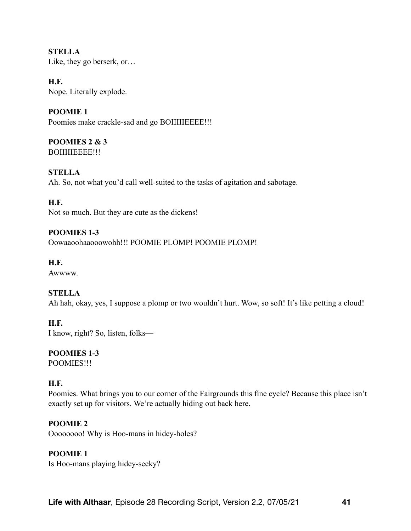**STELLA**  Like, they go berserk, or…

**H.F.**  Nope. Literally explode.

**POOMIE 1**  Poomies make crackle-sad and go BOIIIIIEEEE!!!

**POOMIES 2 & 3**  BOIIIIIEEEE!!!

**STELLA**  Ah. So, not what you'd call well-suited to the tasks of agitation and sabotage.

**H.F.**  Not so much. But they are cute as the dickens!

**POOMIES 1-3**  Oowaaoohaaooowohh!!! POOMIE PLOMP! POOMIE PLOMP!

**H.F.**  Awwww.

# **STELLA**

Ah hah, okay, yes, I suppose a plomp or two wouldn't hurt. Wow, so soft! It's like petting a cloud!

**H.F.**  I know, right? So, listen, folks—

**POOMIES 1-3** 

POOMIES!!!

## **H.F.**

Poomies. What brings you to our corner of the Fairgrounds this fine cycle? Because this place isn't exactly set up for visitors. We're actually hiding out back here.

**POOMIE 2** 

Oooooooo! Why is Hoo-mans in hidey-holes?

# **POOMIE 1**

Is Hoo-mans playing hidey-seeky?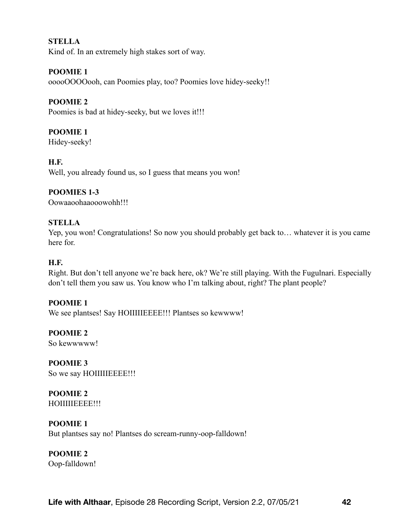## **STELLA**

Kind of. In an extremely high stakes sort of way.

## **POOMIE 1**

ooooOOOOooh, can Poomies play, too? Poomies love hidey-seeky!!

## **POOMIE 2**

Poomies is bad at hidey-seeky, but we loves it!!!

# **POOMIE 1**

Hidey-seeky!

## **H.F.**

Well, you already found us, so I guess that means you won!

## **POOMIES 1-3**

Oowaaoohaaooowohh!!!

## **STELLA**

Yep, you won! Congratulations! So now you should probably get back to… whatever it is you came here for.

# **H.F.**

Right. But don't tell anyone we're back here, ok? We're still playing. With the Fugulnari. Especially don't tell them you saw us. You know who I'm talking about, right? The plant people?

## **POOMIE 1**

We see plantses! Say HOIIIIIEEEE!!! Plantses so kewwww!

**POOMIE 2**  So kewwwww!

**POOMIE 3**  So we say HOIIIIIEEEE!!!

**POOMIE 2**  HOIIIIIEEEE!!!

## **POOMIE 1**

But plantses say no! Plantses do scream-runny-oop-falldown!

## **POOMIE 2**

Oop-falldown!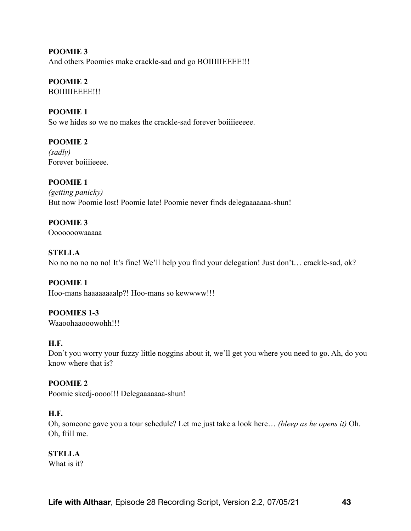**POOMIE 3**  And others Poomies make crackle-sad and go BOIIIIIEEEE!!!

# **POOMIE 2**

BOIIIIIEEEE!!!

# **POOMIE 1**

So we hides so we no makes the crackle-sad forever boiiiieeeee.

# **POOMIE 2**

*(sadly)*  Forever boiiiieeee.

**POOMIE 1**  *(getting panicky)*  But now Poomie lost! Poomie late! Poomie never finds delegaaaaaaa-shun!

## **POOMIE 3**  Ooooooowaaaaa—

**STELLA**  No no no no no no! It's fine! We'll help you find your delegation! Just don't… crackle-sad, ok?

**POOMIE 1**  Hoo-mans haaaaaaaalp?! Hoo-mans so kewwww!!!

## **POOMIES 1-3**  Waaoohaaooowohh!!!

# **H.F.**

Don't you worry your fuzzy little noggins about it, we'll get you where you need to go. Ah, do you know where that is?

# **POOMIE 2**

Poomie skedj-oooo!!! Delegaaaaaaa-shun!

# **H.F.**

Oh, someone gave you a tour schedule? Let me just take a look here… *(bleep as he opens it)* Oh. Oh, frill me.

# **STELLA**

What is it?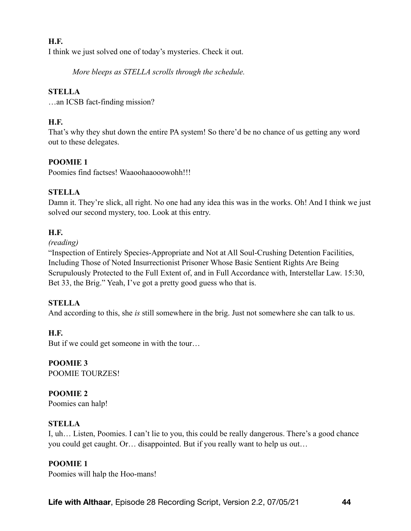# **H.F.**

I think we just solved one of today's mysteries. Check it out.

*More bleeps as STELLA scrolls through the schedule.* 

## **STELLA**

…an ICSB fact-finding mission?

# **H.F.**

That's why they shut down the entire PA system! So there'd be no chance of us getting any word out to these delegates.

# **POOMIE 1**

Poomies find factses! Waaoohaaooowohh!!!

## **STELLA**

Damn it. They're slick, all right. No one had any idea this was in the works. Oh! And I think we just solved our second mystery, too. Look at this entry.

## **H.F.**

## *(reading)*

"Inspection of Entirely Species-Appropriate and Not at All Soul-Crushing Detention Facilities, Including Those of Noted Insurrectionist Prisoner Whose Basic Sentient Rights Are Being Scrupulously Protected to the Full Extent of, and in Full Accordance with, Interstellar Law. 15:30, Bet 33, the Brig." Yeah, I've got a pretty good guess who that is.

## **STELLA**

And according to this, she *is* still somewhere in the brig. Just not somewhere she can talk to us.

## **H.F.**

But if we could get someone in with the tour…

#### **POOMIE 3**  POOMIE TOURZES!

# **POOMIE 2**

Poomies can halp!

# **STELLA**

I, uh… Listen, Poomies. I can't lie to you, this could be really dangerous. There's a good chance you could get caught. Or… disappointed. But if you really want to help us out…

# **POOMIE 1**

Poomies will halp the Hoo-mans!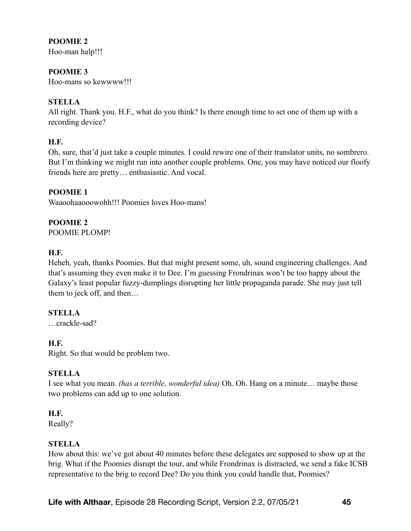# **POOMIE 2**

Hoo-man halp!!!

# **POOMIE 3**

Hoo-mans so kewwww!!!

# **STELLA**

All right. Thank you. H.F., what do you think? Is there enough time to set one of them up with a recording device?

# **H.F.**

Oh, sure, that'd just take a couple minutes. I could rewire one of their translator units, no sombrero. But I'm thinking we might run into another couple problems. One, you may have noticed our floofy friends here are pretty… enthusiastic. And vocal.

## **POOMIE 1**

Waaoohaaooowohh!!! Poomies loves Hoo-mans!

## **POOMIE 2**

POOMIE PLOMP!

## **H.F.**

Heheh, yeah, thanks Poomies. But that might present some, uh, sound engineering challenges. And that's assuming they even make it to Dee. I'm guessing Frondrinax won't be too happy about the Galaxy's least popular fuzzy-dumplings disrupting her little propaganda parade. She may just tell them to jeck off, and then…

# **STELLA**

…crackle-sad?

# **H.F.**

Right. So that would be problem two.

# **STELLA**

I see what you mean. *(has a terrible, wonderful idea)* Oh. Oh. Hang on a minute… maybe those two problems can add up to one solution.

## **H.F.**

Really?

## **STELLA**

How about this: we've got about 40 minutes before these delegates are supposed to show up at the brig. What if the Poomies disrupt the tour, and while Frondrinax is distracted, we send a fake ICSB representative to the brig to record Dee? Do you think you could handle that, Poomies?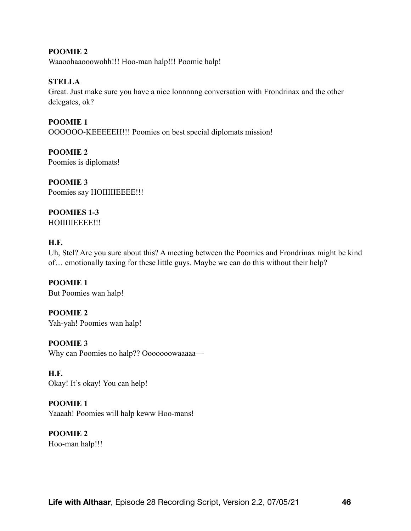**POOMIE 2**  Waaoohaaooowohh!!! Hoo-man halp!!! Poomie halp!

**STELLA** 

Great. Just make sure you have a nice lonnnnng conversation with Frondrinax and the other delegates, ok?

**POOMIE 1**  OOOOOO-KEEEEEH!!! Poomies on best special diplomats mission!

**POOMIE 2**  Poomies is diplomats!

**POOMIE 3**  Poomies say HOIIIIIEEEE!!!

**POOMIES 1-3**  HOIIIIIEEEE!!!

# **H.F.**

Uh, Stel? Are you sure about this? A meeting between the Poomies and Frondrinax might be kind of… emotionally taxing for these little guys. Maybe we can do this without their help?

**POOMIE 1**  But Poomies wan halp!

**POOMIE 2**  Yah-yah! Poomies wan halp!

**POOMIE 3**  Why can Poomies no halp?? Ooooooowaaaaa—

**H.F.**  Okay! It's okay! You can help!

**POOMIE 1**  Yaaaah! Poomies will halp keww Hoo-mans!

**POOMIE 2**  Hoo-man halp!!!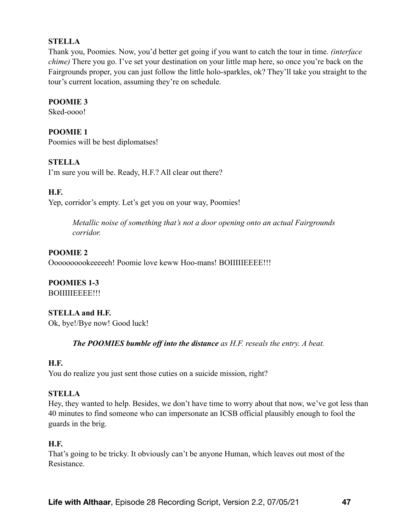## **STELLA**

Thank you, Poomies. Now, you'd better get going if you want to catch the tour in time. *(interface chime)* There you go. I've set your destination on your little map here, so once you're back on the Fairgrounds proper, you can just follow the little holo-sparkles, ok? They'll take you straight to the tour's current location, assuming they're on schedule.

## **POOMIE 3**

Sked-oooo!

## **POOMIE 1**

Poomies will be best diplomatses!

## **STELLA**

I'm sure you will be. Ready, H.F.? All clear out there?

# **H.F.**

Yep, corridor's empty. Let's get you on your way, Poomies!

*Metallic noise of something that's not a door opening onto an actual Fairgrounds corridor.* 

## **POOMIE 2**

Oooooooookeeeeeh! Poomie love keww Hoo-mans! BOIIIIIEEEE!!!

#### **POOMIES 1-3**  BOIIIIIEEEE!!!

# **STELLA and H.F.**

Ok, bye!/Bye now! Good luck!

*The POOMIES bumble off into the distance as H.F. reseals the entry. A beat.*

## **H.F.**

You do realize you just sent those cuties on a suicide mission, right?

## **STELLA**

Hey, they wanted to help. Besides, we don't have time to worry about that now, we've got less than 40 minutes to find someone who can impersonate an ICSB official plausibly enough to fool the guards in the brig.

## **H.F.**

That's going to be tricky. It obviously can't be anyone Human, which leaves out most of the Resistance.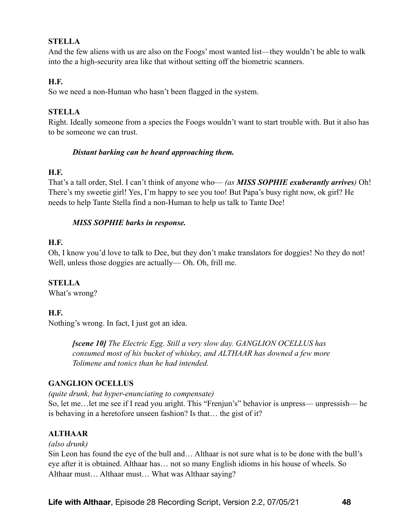## **STELLA**

And the few aliens with us are also on the Foogs' most wanted list—they wouldn't be able to walk into the a high-security area like that without setting off the biometric scanners.

## **H.F.**

So we need a non-Human who hasn't been flagged in the system.

# **STELLA**

Right. Ideally someone from a species the Foogs wouldn't want to start trouble with. But it also has to be someone we can trust.

## *Distant barking can be heard approaching them.*

## **H.F.**

That's a tall order, Stel. I can't think of anyone who— *(as MISS SOPHIE exuberantly arrives)* Oh! There's my sweetie girl! Yes, I'm happy to see you too! But Papa's busy right now, ok girl? He needs to help Tante Stella find a non-Human to help us talk to Tante Dee!

## *MISS SOPHIE barks in response.*

## **H.F.**

Oh, I know you'd love to talk to Dee, but they don't make translators for doggies! No they do not! Well, unless those doggies are actually— Oh. Oh, frill me.

# **STELLA**

What's wrong?

# **H.F.**

Nothing's wrong. In fact, I just got an idea.

*[scene 10] The Electric Egg. Still a very slow day. GANGLION OCELLUS has consumed most of his bucket of whiskey, and ALTHAAR has downed a few more Tolimene and tonics than he had intended.*

# **GANGLION OCELLUS**

*(quite drunk, but hyper-enunciating to compensate)* 

So, let me…let me see if I read you aright. This "Frenjun's" behavior is unpress— unpressish— he is behaving in a heretofore unseen fashion? Is that… the gist of it?

# **ALTHAAR**

## *(also drunk)*

Sin Leon has found the eye of the bull and… Althaar is not sure what is to be done with the bull's eye after it is obtained. Althaar has… not so many English idioms in his house of wheels. So Althaar must… Althaar must… What was Althaar saying?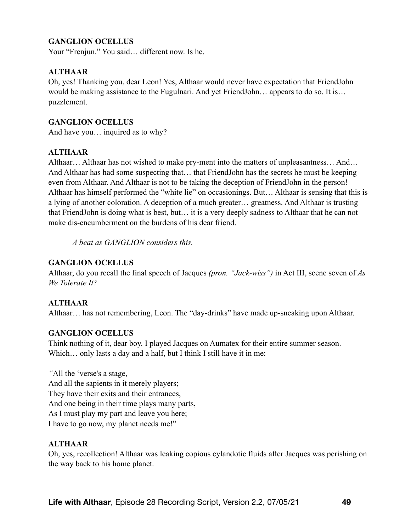# **GANGLION OCELLUS**

Your "Frenjun." You said… different now. Is he.

## **ALTHAAR**

Oh, yes! Thanking you, dear Leon! Yes, Althaar would never have expectation that FriendJohn would be making assistance to the Fugulnari. And yet FriendJohn… appears to do so. It is… puzzlement.

#### **GANGLION OCELLUS**

And have you… inquired as to why?

#### **ALTHAAR**

Althaar… Althaar has not wished to make pry-ment into the matters of unpleasantness… And… And Althaar has had some suspecting that… that FriendJohn has the secrets he must be keeping even from Althaar. And Althaar is not to be taking the deception of FriendJohn in the person! Althaar has himself performed the "white lie" on occasionings. But… Althaar is sensing that this is a lying of another coloration. A deception of a much greater… greatness. And Althaar is trusting that FriendJohn is doing what is best, but… it is a very deeply sadness to Althaar that he can not make dis-encumberment on the burdens of his dear friend.

*A beat as GANGLION considers this.* 

#### **GANGLION OCELLUS**

Althaar, do you recall the final speech of Jacques *(pron. "Jack-wiss")* in Act III, scene seven of *As We Tolerate It*?

#### **ALTHAAR**

Althaar… has not remembering, Leon. The "day-drinks" have made up-sneaking upon Althaar.

#### **GANGLION OCELLUS**

Think nothing of it, dear boy. I played Jacques on Aumatex for their entire summer season. Which... only lasts a day and a half, but I think I still have it in me:

*"*All the 'verse's a stage, And all the sapients in it merely players; They have their exits and their entrances, And one being in their time plays many parts, As I must play my part and leave you here; I have to go now, my planet needs me!"

#### **ALTHAAR**

Oh, yes, recollection! Althaar was leaking copious cylandotic fluids after Jacques was perishing on the way back to his home planet.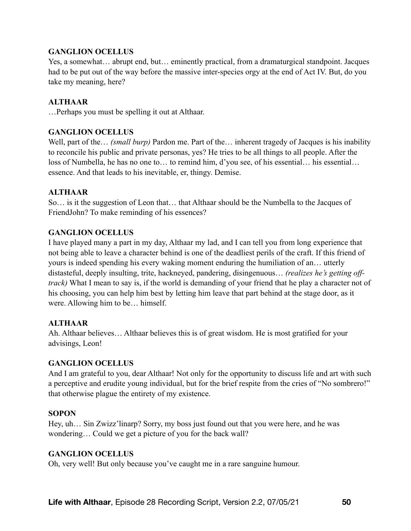## **GANGLION OCELLUS**

Yes, a somewhat… abrupt end, but… eminently practical, from a dramaturgical standpoint. Jacques had to be put out of the way before the massive inter-species orgy at the end of Act IV. But, do you take my meaning, here?

## **ALTHAAR**

…Perhaps you must be spelling it out at Althaar.

## **GANGLION OCELLUS**

Well, part of the… *(small burp)* Pardon me. Part of the… inherent tragedy of Jacques is his inability to reconcile his public and private personas, yes? He tries to be all things to all people. After the loss of Numbella, he has no one to… to remind him, d'you see, of his essential… his essential… essence. And that leads to his inevitable, er, thingy. Demise.

## **ALTHAAR**

So… is it the suggestion of Leon that… that Althaar should be the Numbella to the Jacques of FriendJohn? To make reminding of his essences?

## **GANGLION OCELLUS**

I have played many a part in my day, Althaar my lad, and I can tell you from long experience that not being able to leave a character behind is one of the deadliest perils of the craft. If this friend of yours is indeed spending his every waking moment enduring the humiliation of an… utterly distasteful, deeply insulting, trite, hackneyed, pandering, disingenuous… *(realizes he's getting offtrack)* What I mean to say is, if the world is demanding of your friend that he play a character not of his choosing, you can help him best by letting him leave that part behind at the stage door, as it were. Allowing him to be… himself.

## **ALTHAAR**

Ah. Althaar believes… Althaar believes this is of great wisdom. He is most gratified for your advisings, Leon!

## **GANGLION OCELLUS**

And I am grateful to you, dear Althaar! Not only for the opportunity to discuss life and art with such a perceptive and erudite young individual, but for the brief respite from the cries of "No sombrero!" that otherwise plague the entirety of my existence.

## **SOPON**

Hey, uh... Sin Zwizz'linarp? Sorry, my boss just found out that you were here, and he was wondering… Could we get a picture of you for the back wall?

## **GANGLION OCELLUS**

Oh, very well! But only because you've caught me in a rare sanguine humour.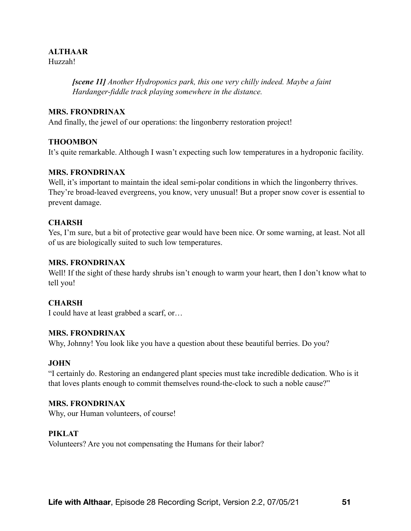## **ALTHAAR**

Huzzah!

*[scene 11] Another Hydroponics park, this one very chilly indeed. Maybe a faint Hardanger-fiddle track playing somewhere in the distance.* 

## **MRS. FRONDRINAX**

And finally, the jewel of our operations: the lingonberry restoration project!

## **THOOMBON**

It's quite remarkable. Although I wasn't expecting such low temperatures in a hydroponic facility.

## **MRS. FRONDRINAX**

Well, it's important to maintain the ideal semi-polar conditions in which the lingonberry thrives. They're broad-leaved evergreens, you know, very unusual! But a proper snow cover is essential to prevent damage.

## **CHARSH**

Yes, I'm sure, but a bit of protective gear would have been nice. Or some warning, at least. Not all of us are biologically suited to such low temperatures.

## **MRS. FRONDRINAX**

Well! If the sight of these hardy shrubs isn't enough to warm your heart, then I don't know what to tell you!

# **CHARSH**

I could have at least grabbed a scarf, or…

## **MRS. FRONDRINAX**

Why, Johnny! You look like you have a question about these beautiful berries. Do you?

## **JOHN**

"I certainly do. Restoring an endangered plant species must take incredible dedication. Who is it that loves plants enough to commit themselves round-the-clock to such a noble cause?"

## **MRS. FRONDRINAX**

Why, our Human volunteers, of course!

## **PIKLAT**

Volunteers? Are you not compensating the Humans for their labor?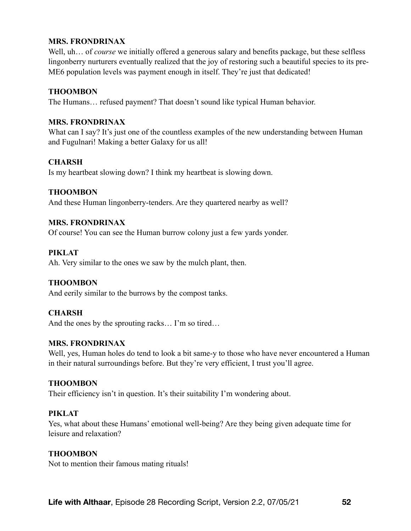## **MRS. FRONDRINAX**

Well, uh... of *course* we initially offered a generous salary and benefits package, but these selfless lingonberry nurturers eventually realized that the joy of restoring such a beautiful species to its pre-ME6 population levels was payment enough in itself. They're just that dedicated!

#### **THOOMBON**

The Humans… refused payment? That doesn't sound like typical Human behavior.

#### **MRS. FRONDRINAX**

What can I say? It's just one of the countless examples of the new understanding between Human and Fugulnari! Making a better Galaxy for us all!

#### **CHARSH**

Is my heartbeat slowing down? I think my heartbeat is slowing down.

#### **THOOMBON**

And these Human lingonberry-tenders. Are they quartered nearby as well?

#### **MRS. FRONDRINAX**

Of course! You can see the Human burrow colony just a few yards yonder.

#### **PIKLAT**

Ah. Very similar to the ones we saw by the mulch plant, then.

#### **THOOMBON**

And eerily similar to the burrows by the compost tanks.

#### **CHARSH**

And the ones by the sprouting racks… I'm so tired…

#### **MRS. FRONDRINAX**

Well, yes, Human holes do tend to look a bit same-y to those who have never encountered a Human in their natural surroundings before. But they're very efficient, I trust you'll agree.

#### **THOOMBON**

Their efficiency isn't in question. It's their suitability I'm wondering about.

#### **PIKLAT**

Yes, what about these Humans' emotional well-being? Are they being given adequate time for leisure and relaxation?

#### **THOOMBON**

Not to mention their famous mating rituals!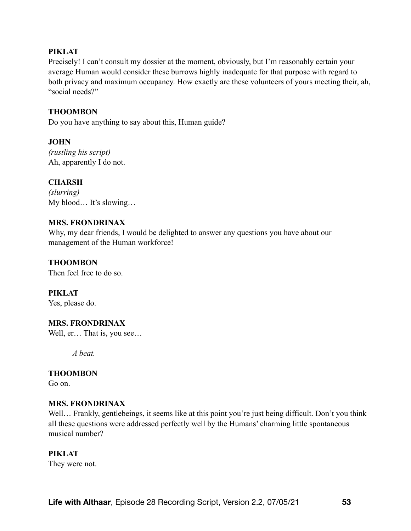## **PIKLAT**

Precisely! I can't consult my dossier at the moment, obviously, but I'm reasonably certain your average Human would consider these burrows highly inadequate for that purpose with regard to both privacy and maximum occupancy. How exactly are these volunteers of yours meeting their, ah, "social needs?"

## **THOOMBON**

Do you have anything to say about this, Human guide?

## **JOHN**

*(rustling his script)* Ah, apparently I do not.

## **CHARSH**

*(slurring)*  My blood… It's slowing…

## **MRS. FRONDRINAX**

Why, my dear friends, I would be delighted to answer any questions you have about our management of the Human workforce!

## **THOOMBON**

Then feel free to do so.

**PIKLAT**  Yes, please do.

## **MRS. FRONDRINAX**

Well, er... That is, you see...

*A beat.* 

## **THOOMBON**

Go on.

## **MRS. FRONDRINAX**

Well... Frankly, gentlebeings, it seems like at this point you're just being difficult. Don't you think all these questions were addressed perfectly well by the Humans' charming little spontaneous musical number?

#### **PIKLAT**

They were not.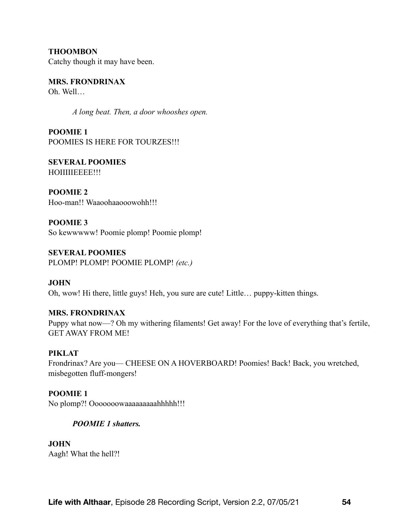**THOOMBON**  Catchy though it may have been.

**MRS. FRONDRINAX**  Oh. Well…

*A long beat. Then, a door whooshes open.* 

**POOMIE 1**  POOMIES IS HERE FOR TOURZES!!!

**SEVERAL POOMIES**  HOIIIIIEEEE!!!

**POOMIE 2**  Hoo-man!! Waaoohaaooowohh!!!

**POOMIE 3**  So kewwwww! Poomie plomp! Poomie plomp!

**SEVERAL POOMIES**  PLOMP! PLOMP! POOMIE PLOMP! *(etc.)*

**JOHN**  Oh, wow! Hi there, little guys! Heh, you sure are cute! Little… puppy-kitten things.

**MRS. FRONDRINAX**  Puppy what now—? Oh my withering filaments! Get away! For the love of everything that's fertile, GET AWAY FROM ME!

**PIKLAT**  Frondrinax? Are you— CHEESE ON A HOVERBOARD! Poomies! Back! Back, you wretched, misbegotten fluff-mongers!

**POOMIE 1** No plomp?! Ooooooowaaaaaaaaahhhhh!!!

# *POOMIE 1 shatters.*

**JOHN**  Aagh! What the hell?!

**Life with Althaar**, Episode 28 Recording Script, Version 2.2, 07/05/21 **54**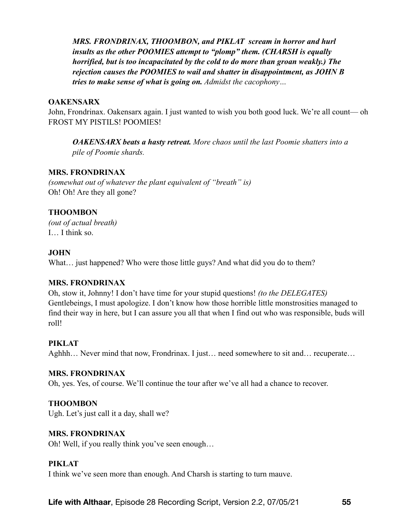*MRS. FRONDRINAX, THOOMBON, and PIKLAT scream in horror and hurl insults as the other POOMIES attempt to "plomp" them. (CHARSH is equally horrified, but is too incapacitated by the cold to do more than groan weakly.) The rejection causes the POOMIES to wail and shatter in disappointment, as JOHN B tries to make sense of what is going on. Admidst the cacophony…* 

#### **OAKENSARX**

John, Frondrinax. Oakensarx again. I just wanted to wish you both good luck. We're all count— oh FROST MY PISTILS! POOMIES!

*OAKENSARX beats a hasty retreat. More chaos until the last Poomie shatters into a pile of Poomie shards.* 

#### **MRS. FRONDRINAX**

*(somewhat out of whatever the plant equivalent of "breath" is)*  Oh! Oh! Are they all gone?

## **THOOMBON**

*(out of actual breath)*  I… I think so.

#### **JOHN**

What... just happened? Who were those little guys? And what did you do to them?

#### **MRS. FRONDRINAX**

Oh, stow it, Johnny! I don't have time for your stupid questions! *(to the DELEGATES)* Gentlebeings, I must apologize. I don't know how those horrible little monstrosities managed to find their way in here, but I can assure you all that when I find out who was responsible, buds will roll!

#### **PIKLAT**

Aghhh... Never mind that now, Frondrinax. I just... need somewhere to sit and... recuperate...

#### **MRS. FRONDRINAX**

Oh, yes. Yes, of course. We'll continue the tour after we've all had a chance to recover.

#### **THOOMBON**

Ugh. Let's just call it a day, shall we?

#### **MRS. FRONDRINAX**

Oh! Well, if you really think you've seen enough…

#### **PIKLAT**

I think we've seen more than enough. And Charsh is starting to turn mauve.

**Life with Althaar**, Episode 28 Recording Script, Version 2.2, 07/05/21 **55**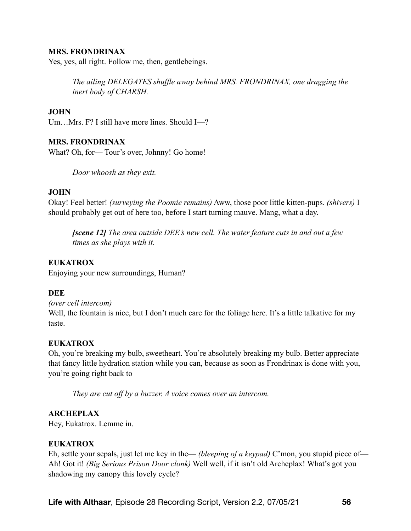#### **MRS. FRONDRINAX**

Yes, yes, all right. Follow me, then, gentlebeings.

*The ailing DELEGATES shuffle away behind MRS. FRONDRINAX, one dragging the inert body of CHARSH.* 

#### **JOHN**

Um…Mrs. F? I still have more lines. Should I—?

#### **MRS. FRONDRINAX**

What? Oh, for— Tour's over, Johnny! Go home!

*Door whoosh as they exit.* 

#### **JOHN**

Okay! Feel better! *(surveying the Poomie remains)* Aww, those poor little kitten-pups. *(shivers)* I should probably get out of here too, before I start turning mauve. Mang, what a day.

*[scene 12] The area outside DEE's new cell. The water feature cuts in and out a few times as she plays with it.* 

#### **EUKATROX**

Enjoying your new surroundings, Human?

#### **DEE**

*(over cell intercom)* 

Well, the fountain is nice, but I don't much care for the foliage here. It's a little talkative for my taste.

#### **EUKATROX**

Oh, you're breaking my bulb, sweetheart. You're absolutely breaking my bulb. Better appreciate that fancy little hydration station while you can, because as soon as Frondrinax is done with you, you're going right back to—

*They are cut off by a buzzer. A voice comes over an intercom.* 

#### **ARCHEPLAX**

Hey, Eukatrox. Lemme in.

#### **EUKATROX**

Eh, settle your sepals, just let me key in the— *(bleeping of a keypad)* C'mon, you stupid piece of— Ah! Got it! *(Big Serious Prison Door clonk)* Well well, if it isn't old Archeplax! What's got you shadowing my canopy this lovely cycle?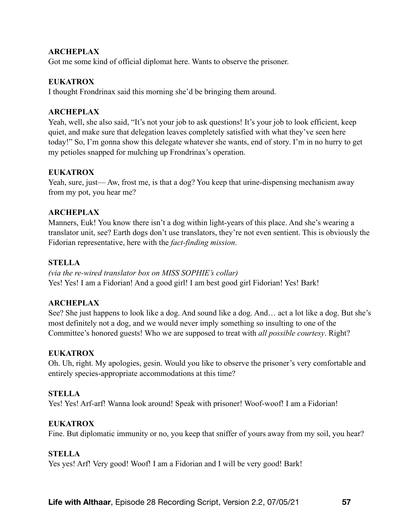## **ARCHEPLAX**

Got me some kind of official diplomat here. Wants to observe the prisoner.

#### **EUKATROX**

I thought Frondrinax said this morning she'd be bringing them around.

#### **ARCHEPLAX**

Yeah, well, she also said, "It's not your job to ask questions! It's your job to look efficient, keep quiet, and make sure that delegation leaves completely satisfied with what they've seen here today!" So, I'm gonna show this delegate whatever she wants, end of story. I'm in no hurry to get my petioles snapped for mulching up Frondrinax's operation.

#### **EUKATROX**

Yeah, sure, just— Aw, frost me, is that a dog? You keep that urine-dispensing mechanism away from my pot, you hear me?

## **ARCHEPLAX**

Manners, Euk! You know there isn't a dog within light-years of this place. And she's wearing a translator unit, see? Earth dogs don't use translators, they're not even sentient. This is obviously the Fidorian representative, here with the *fact-finding mission*.

## **STELLA**

*(via the re-wired translator box on MISS SOPHIE's collar)*  Yes! Yes! I am a Fidorian! And a good girl! I am best good girl Fidorian! Yes! Bark!

#### **ARCHEPLAX**

See? She just happens to look like a dog. And sound like a dog. And… act a lot like a dog. But she's most definitely not a dog, and we would never imply something so insulting to one of the Committee's honored guests! Who we are supposed to treat with *all possible courtesy*. Right?

#### **EUKATROX**

Oh. Uh, right. My apologies, gesin. Would you like to observe the prisoner's very comfortable and entirely species-appropriate accommodations at this time?

#### **STELLA**

Yes! Yes! Arf-arf! Wanna look around! Speak with prisoner! Woof-woof! I am a Fidorian!

#### **EUKATROX**

Fine. But diplomatic immunity or no, you keep that sniffer of yours away from my soil, you hear?

#### **STELLA**

Yes yes! Arf! Very good! Woof! I am a Fidorian and I will be very good! Bark!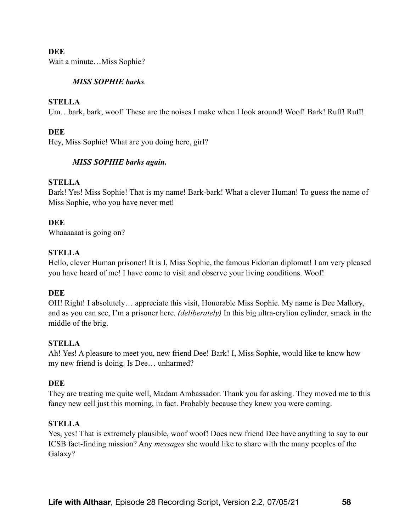## **DEE**

Wait a minute…Miss Sophie?

## *MISS SOPHIE barks.*

#### **STELLA**

Um...bark, bark, woof! These are the noises I make when I look around! Woof! Bark! Ruff! Ruff!

## **DEE**

Hey, Miss Sophie! What are you doing here, girl?

## *MISS SOPHIE barks again.*

## **STELLA**

Bark! Yes! Miss Sophie! That is my name! Bark-bark! What a clever Human! To guess the name of Miss Sophie, who you have never met!

## **DEE**

Whaaaaaat is going on?

## **STELLA**

Hello, clever Human prisoner! It is I, Miss Sophie, the famous Fidorian diplomat! I am very pleased you have heard of me! I have come to visit and observe your living conditions. Woof!

## **DEE**

OH! Right! I absolutely… appreciate this visit, Honorable Miss Sophie. My name is Dee Mallory, and as you can see, I'm a prisoner here. *(deliberately)* In this big ultra-crylion cylinder, smack in the middle of the brig.

## **STELLA**

Ah! Yes! A pleasure to meet you, new friend Dee! Bark! I, Miss Sophie, would like to know how my new friend is doing. Is Dee… unharmed?

## **DEE**

They are treating me quite well, Madam Ambassador. Thank you for asking. They moved me to this fancy new cell just this morning, in fact. Probably because they knew you were coming.

## **STELLA**

Yes, yes! That is extremely plausible, woof woof! Does new friend Dee have anything to say to our ICSB fact-finding mission? Any *messages* she would like to share with the many peoples of the Galaxy?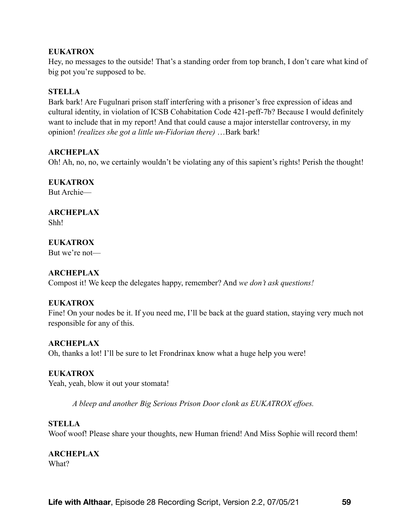## **EUKATROX**

Hey, no messages to the outside! That's a standing order from top branch, I don't care what kind of big pot you're supposed to be.

## **STELLA**

Bark bark! Are Fugulnari prison staff interfering with a prisoner's free expression of ideas and cultural identity, in violation of ICSB Cohabitation Code 421-peff-7b? Because I would definitely want to include that in my report! And that could cause a major interstellar controversy, in my opinion! *(realizes she got a little un-Fidorian there)* …Bark bark!

## **ARCHEPLAX**

Oh! Ah, no, no, we certainly wouldn't be violating any of this sapient's rights! Perish the thought!

#### **EUKATROX**

But Archie—

# **ARCHEPLAX**

Shh!

# **EUKATROX**

But we're not—

## **ARCHEPLAX**

Compost it! We keep the delegates happy, remember? And *we don't ask questions!*

## **EUKATROX**

Fine! On your nodes be it. If you need me, I'll be back at the guard station, staying very much not responsible for any of this.

## **ARCHEPLAX**

Oh, thanks a lot! I'll be sure to let Frondrinax know what a huge help you were!

## **EUKATROX**

Yeah, yeah, blow it out your stomata!

*A bleep and another Big Serious Prison Door clonk as EUKATROX effoes.* 

#### **STELLA**

Woof woof! Please share your thoughts, new Human friend! And Miss Sophie will record them!

**ARCHEPLAX**  What?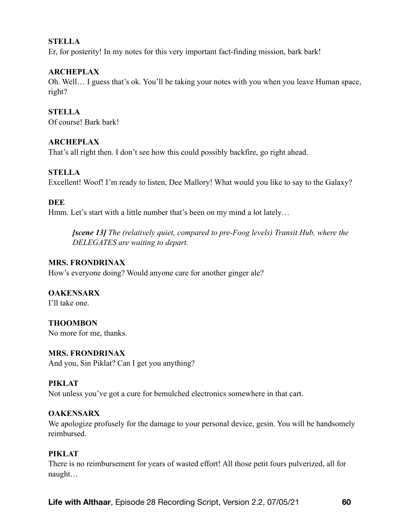## **STELLA**

Er, for posterity! In my notes for this very important fact-finding mission, bark bark!

## **ARCHEPLAX**

Oh. Well… I guess that's ok. You'll be taking your notes with you when you leave Human space, right?

**STELLA**  Of course! Bark bark!

## **ARCHEPLAX**

That's all right then. I don't see how this could possibly backfire, go right ahead.

#### **STELLA**

Excellent! Woof! I'm ready to listen, Dee Mallory! What would you like to say to the Galaxy?

#### **DEE**

Hmm. Let's start with a little number that's been on my mind a lot lately...

*[scene 13] The (relatively quiet, compared to pre-Foog levels) Transit Hub, where the DELEGATES are waiting to depart.* 

#### **MRS. FRONDRINAX**

How's everyone doing? Would anyone care for another ginger ale?

## **OAKENSARX**

I'll take one.

**THOOMBON**  No more for me, thanks.

## **MRS. FRONDRINAX**

And you, Sin Piklat? Can I get you anything?

## **PIKLAT**

Not unless you've got a cure for bemulched electronics somewhere in that cart.

#### **OAKENSARX**

We apologize profusely for the damage to your personal device, gesin. You will be handsomely reimbursed.

## **PIKLAT**

There is no reimbursement for years of wasted effort! All those petit fours pulverized, all for naught…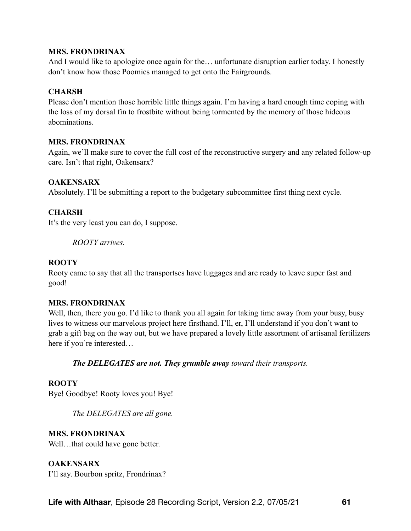#### **MRS. FRONDRINAX**

And I would like to apologize once again for the… unfortunate disruption earlier today. I honestly don't know how those Poomies managed to get onto the Fairgrounds.

## **CHARSH**

Please don't mention those horrible little things again. I'm having a hard enough time coping with the loss of my dorsal fin to frostbite without being tormented by the memory of those hideous abominations.

## **MRS. FRONDRINAX**

Again, we'll make sure to cover the full cost of the reconstructive surgery and any related follow-up care. Isn't that right, Oakensarx?

## **OAKENSARX**

Absolutely. I'll be submitting a report to the budgetary subcommittee first thing next cycle.

## **CHARSH**

It's the very least you can do, I suppose.

*ROOTY arrives.* 

## **ROOTY**

Rooty came to say that all the transportses have luggages and are ready to leave super fast and good!

## **MRS. FRONDRINAX**

Well, then, there you go. I'd like to thank you all again for taking time away from your busy, busy lives to witness our marvelous project here firsthand. I'll, er, I'll understand if you don't want to grab a gift bag on the way out, but we have prepared a lovely little assortment of artisanal fertilizers here if you're interested…

*The DELEGATES are not. They grumble away toward their transports.* 

## **ROOTY**

Bye! Goodbye! Rooty loves you! Bye!

*The DELEGATES are all gone.* 

## **MRS. FRONDRINAX**

Well...that could have gone better.

# **OAKENSARX**

I'll say. Bourbon spritz, Frondrinax?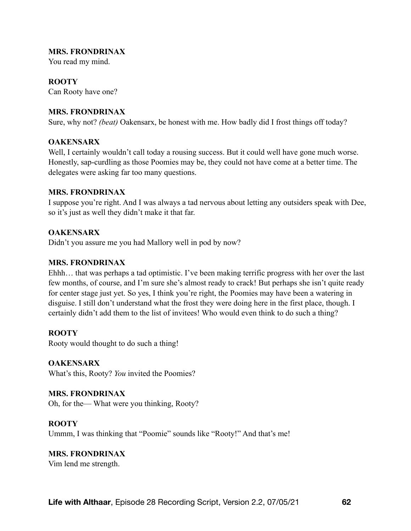#### **MRS. FRONDRINAX**

You read my mind.

#### **ROOTY**

Can Rooty have one?

#### **MRS. FRONDRINAX**

Sure, why not? *(beat)* Oakensarx, be honest with me. How badly did I frost things off today?

#### **OAKENSARX**

Well, I certainly wouldn't call today a rousing success. But it could well have gone much worse. Honestly, sap-curdling as those Poomies may be, they could not have come at a better time. The delegates were asking far too many questions.

#### **MRS. FRONDRINAX**

I suppose you're right. And I was always a tad nervous about letting any outsiders speak with Dee, so it's just as well they didn't make it that far.

#### **OAKENSARX**

Didn't you assure me you had Mallory well in pod by now?

#### **MRS. FRONDRINAX**

Ehhh… that was perhaps a tad optimistic. I've been making terrific progress with her over the last few months, of course, and I'm sure she's almost ready to crack! But perhaps she isn't quite ready for center stage just yet. So yes, I think you're right, the Poomies may have been a watering in disguise. I still don't understand what the frost they were doing here in the first place, though. I certainly didn't add them to the list of invitees! Who would even think to do such a thing?

## **ROOTY**

Rooty would thought to do such a thing!

**OAKENSARX**  What's this, Rooty? *You* invited the Poomies?

#### **MRS. FRONDRINAX**

Oh, for the— What were you thinking, Rooty?

#### **ROOTY**

Ummm, I was thinking that "Poomie" sounds like "Rooty!" And that's me!

# **MRS. FRONDRINAX**

Vim lend me strength.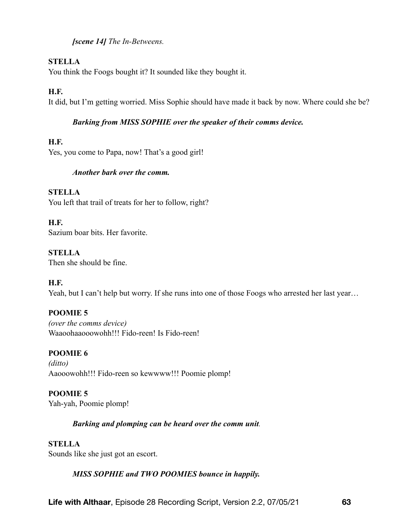*[scene 14] The In-Betweens.* 

# **STELLA**

You think the Foogs bought it? It sounded like they bought it.

# **H.F.**

It did, but I'm getting worried. Miss Sophie should have made it back by now. Where could she be?

# *Barking from MISS SOPHIE over the speaker of their comms device.*

# **H.F.**

Yes, you come to Papa, now! That's a good girl!

# *Another bark over the comm.*

## **STELLA**

You left that trail of treats for her to follow, right?

## **H.F.**

Sazium boar bits. Her favorite.

# **STELLA**

Then she should be fine.

# **H.F.**

Yeah, but I can't help but worry. If she runs into one of those Foogs who arrested her last year...

# **POOMIE 5**

*(over the comms device)*  Waaoohaaooowohh!!! Fido-reen! Is Fido-reen!

# **POOMIE 6**

*(ditto)*  Aaooowohh!!! Fido-reen so kewwww!!! Poomie plomp!

# **POOMIE 5**

Yah-yah, Poomie plomp!

# *Barking and plomping can be heard over the comm unit.*

# **STELLA**

Sounds like she just got an escort.

# *MISS SOPHIE and TWO POOMIES bounce in happily.*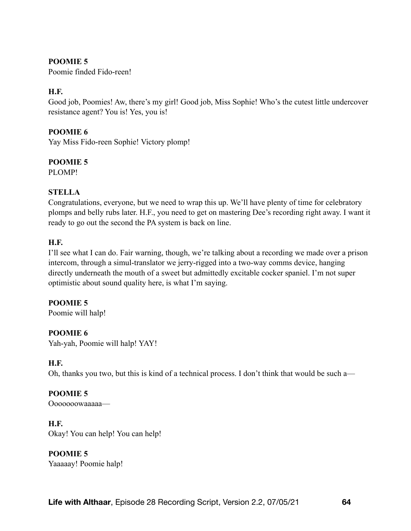# **POOMIE 5**

Poomie finded Fido-reen!

# **H.F.**

Good job, Poomies! Aw, there's my girl! Good job, Miss Sophie! Who's the cutest little undercover resistance agent? You is! Yes, you is!

## **POOMIE 6**

Yay Miss Fido-reen Sophie! Victory plomp!

## **POOMIE 5**

PLOMP!

## **STELLA**

Congratulations, everyone, but we need to wrap this up. We'll have plenty of time for celebratory plomps and belly rubs later. H.F., you need to get on mastering Dee's recording right away. I want it ready to go out the second the PA system is back on line.

## **H.F.**

I'll see what I can do. Fair warning, though, we're talking about a recording we made over a prison intercom, through a simul-translator we jerry-rigged into a two-way comms device, hanging directly underneath the mouth of a sweet but admittedly excitable cocker spaniel. I'm not super optimistic about sound quality here, is what I'm saying.

## **POOMIE 5**

Poomie will halp!

## **POOMIE 6**

Yah-yah, Poomie will halp! YAY!

## **H.F.**

Oh, thanks you two, but this is kind of a technical process. I don't think that would be such a—

# **POOMIE 5**

Ooooooowaaaaa—

## **H.F.**

Okay! You can help! You can help!

## **POOMIE 5**

Yaaaaay! Poomie halp!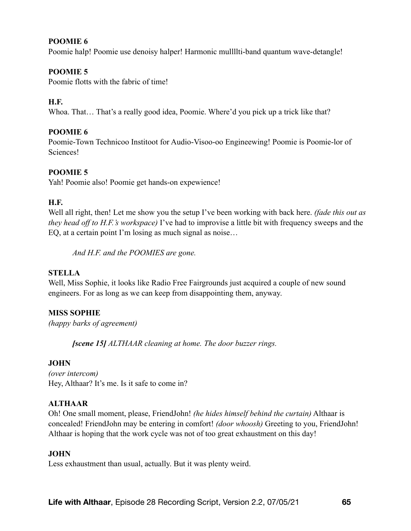## **POOMIE 6**

Poomie halp! Poomie use denoisy halper! Harmonic mullllti-band quantum wave-detangle!

# **POOMIE 5**

Poomie flotts with the fabric of time!

# **H.F.**

Whoa. That… That's a really good idea, Poomie. Where'd you pick up a trick like that?

# **POOMIE 6**

Poomie-Town Technicoo Institoot for Audio-Visoo-oo Engineewing! Poomie is Poomie-lor of Sciences!

# **POOMIE 5**

Yah! Poomie also! Poomie get hands-on expewience!

## **H.F.**

Well all right, then! Let me show you the setup I've been working with back here. *(fade this out as they head off to H.F.'s workspace)* I've had to improvise a little bit with frequency sweeps and the EQ, at a certain point I'm losing as much signal as noise…

*And H.F. and the POOMIES are gone.* 

## **STELLA**

Well, Miss Sophie, it looks like Radio Free Fairgrounds just acquired a couple of new sound engineers. For as long as we can keep from disappointing them, anyway.

# **MISS SOPHIE**

*(happy barks of agreement)*

*[scene 15] ALTHAAR cleaning at home. The door buzzer rings.* 

## **JOHN**

*(over intercom)*  Hey, Althaar? It's me. Is it safe to come in?

# **ALTHAAR**

Oh! One small moment, please, FriendJohn! *(he hides himself behind the curtain)* Althaar is concealed! FriendJohn may be entering in comfort! *(door whoosh)* Greeting to you, FriendJohn! Althaar is hoping that the work cycle was not of too great exhaustment on this day!

## **JOHN**

Less exhaustment than usual, actually. But it was plenty weird.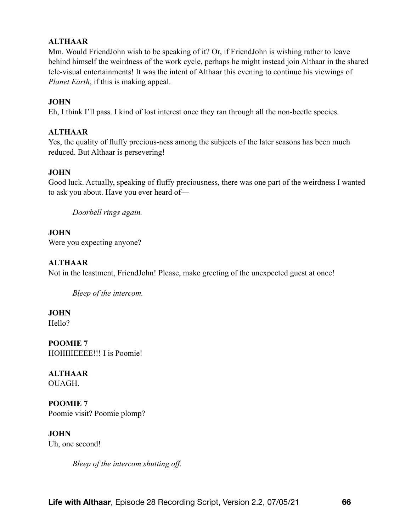# **ALTHAAR**

Mm. Would FriendJohn wish to be speaking of it? Or, if FriendJohn is wishing rather to leave behind himself the weirdness of the work cycle, perhaps he might instead join Althaar in the shared tele-visual entertainments! It was the intent of Althaar this evening to continue his viewings of *Planet Earth*, if this is making appeal.

## **JOHN**

Eh, I think I'll pass. I kind of lost interest once they ran through all the non-beetle species.

## **ALTHAAR**

Yes, the quality of fluffy precious-ness among the subjects of the later seasons has been much reduced. But Althaar is persevering!

#### **JOHN**

Good luck. Actually, speaking of fluffy preciousness, there was one part of the weirdness I wanted to ask you about. Have you ever heard of—

*Doorbell rings again.* 

#### **JOHN**

Were you expecting anyone?

## **ALTHAAR**

Not in the leastment, FriendJohn! Please, make greeting of the unexpected guest at once!

*Bleep of the intercom.* 

**JOHN** 

Hello?

**POOMIE 7**  HOIIIIIEEEE!!! I is Poomie!

**ALTHAAR**  OUAGH.

**POOMIE 7**  Poomie visit? Poomie plomp?

**JOHN**  Uh, one second!

*Bleep of the intercom shutting off.*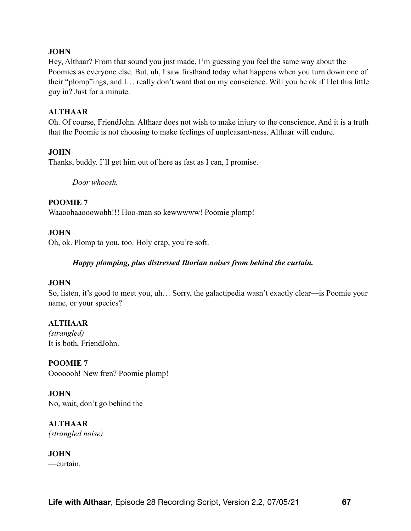## **JOHN**

Hey, Althaar? From that sound you just made, I'm guessing you feel the same way about the Poomies as everyone else. But, uh, I saw firsthand today what happens when you turn down one of their "plomp"ings, and I… really don't want that on my conscience. Will you be ok if I let this little guy in? Just for a minute.

## **ALTHAAR**

Oh. Of course, FriendJohn. Althaar does not wish to make injury to the conscience. And it is a truth that the Poomie is not choosing to make feelings of unpleasant-ness. Althaar will endure.

## **JOHN**

Thanks, buddy. I'll get him out of here as fast as I can, I promise.

*Door whoosh.* 

## **POOMIE 7**

Waaoohaaooowohh!!! Hoo-man so kewwwww! Poomie plomp!

## **JOHN**

Oh, ok. Plomp to you, too. Holy crap, you're soft.

## *Happy plomping, plus distressed Iltorian noises from behind the curtain.*

## **JOHN**

So, listen, it's good to meet you, uh… Sorry, the galactipedia wasn't exactly clear—is Poomie your name, or your species?

## **ALTHAAR**

*(strangled)* It is both, FriendJohn.

**POOMIE 7**  Ooooooh! New fren? Poomie plomp!

**JOHN**  No, wait, don't go behind the—

**ALTHAAR**  *(strangled noise)*

**JOHN**  —curtain.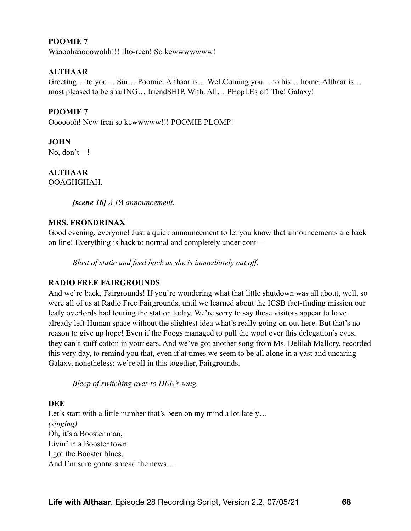## **POOMIE 7**

Waaoohaaooowohh!!! Ilto-reen! So kewwwwwww!

## **ALTHAAR**

Greeting… to you… Sin… Poomie. Althaar is… WeLComing you… to his… home. Althaar is… most pleased to be sharING… friendSHIP. With. All… PEopLEs of! The! Galaxy!

## **POOMIE 7**

Ooooooh! New fren so kewwwww!!! POOMIE PLOMP!

## **JOHN**

No, don't—!

**ALTHAAR** 

OOAGHGHAH.

*[scene 16] A PA announcement.* 

## **MRS. FRONDRINAX**

Good evening, everyone! Just a quick announcement to let you know that announcements are back on line! Everything is back to normal and completely under cont—

*Blast of static and feed back as she is immediately cut off.* 

## **RADIO FREE FAIRGROUNDS**

And we're back, Fairgrounds! If you're wondering what that little shutdown was all about, well, so were all of us at Radio Free Fairgrounds, until we learned about the ICSB fact-finding mission our leafy overlords had touring the station today. We're sorry to say these visitors appear to have already left Human space without the slightest idea what's really going on out here. But that's no reason to give up hope! Even if the Foogs managed to pull the wool over this delegation's eyes, they can't stuff cotton in your ears. And we've got another song from Ms. Delilah Mallory, recorded this very day, to remind you that, even if at times we seem to be all alone in a vast and uncaring Galaxy, nonetheless: we're all in this together, Fairgrounds.

*Bleep of switching over to DEE's song.* 

## **DEE**

Let's start with a little number that's been on my mind a lot lately... *(singing)*  Oh, it's a Booster man, Livin' in a Booster town I got the Booster blues, And I'm sure gonna spread the news…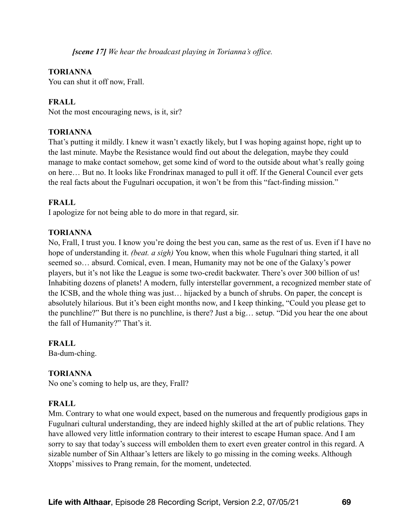*[scene 17] We hear the broadcast playing in Torianna's office.* 

## **TORIANNA**

You can shut it off now, Frall.

## **FRALL**

Not the most encouraging news, is it, sir?

## **TORIANNA**

That's putting it mildly. I knew it wasn't exactly likely, but I was hoping against hope, right up to the last minute. Maybe the Resistance would find out about the delegation, maybe they could manage to make contact somehow, get some kind of word to the outside about what's really going on here… But no. It looks like Frondrinax managed to pull it off. If the General Council ever gets the real facts about the Fugulnari occupation, it won't be from this "fact-finding mission."

## **FRALL**

I apologize for not being able to do more in that regard, sir.

## **TORIANNA**

No, Frall, I trust you. I know you're doing the best you can, same as the rest of us. Even if I have no hope of understanding it. *(beat. a sigh)* You know, when this whole Fugulnari thing started, it all seemed so… absurd. Comical, even. I mean, Humanity may not be one of the Galaxy's power players, but it's not like the League is some two-credit backwater. There's over 300 billion of us! Inhabiting dozens of planets! A modern, fully interstellar government, a recognized member state of the ICSB, and the whole thing was just… hijacked by a bunch of shrubs. On paper, the concept is absolutely hilarious. But it's been eight months now, and I keep thinking, "Could you please get to the punchline?" But there is no punchline, is there? Just a big… setup. "Did you hear the one about the fall of Humanity?" That's it.

## **FRALL**

Ba-dum-ching.

## **TORIANNA**

No one's coming to help us, are they, Frall?

## **FRALL**

Mm. Contrary to what one would expect, based on the numerous and frequently prodigious gaps in Fugulnari cultural understanding, they are indeed highly skilled at the art of public relations. They have allowed very little information contrary to their interest to escape Human space. And I am sorry to say that today's success will embolden them to exert even greater control in this regard. A sizable number of Sin Althaar's letters are likely to go missing in the coming weeks. Although Xtopps' missives to Prang remain, for the moment, undetected.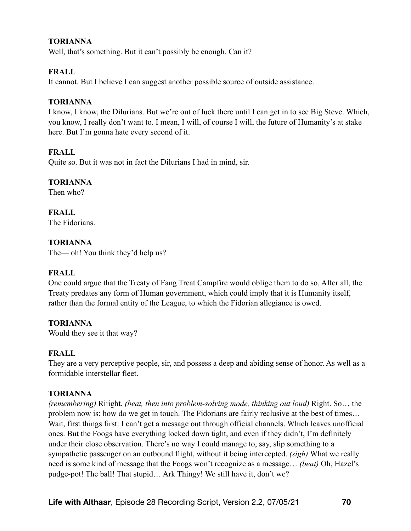## **TORIANNA**

Well, that's something. But it can't possibly be enough. Can it?

## **FRALL**

It cannot. But I believe I can suggest another possible source of outside assistance.

#### **TORIANNA**

I know, I know, the Dilurians. But we're out of luck there until I can get in to see Big Steve. Which, you know, I really don't want to. I mean, I will, of course I will, the future of Humanity's at stake here. But I'm gonna hate every second of it.

## **FRALL**

Quite so. But it was not in fact the Dilurians I had in mind, sir.

## **TORIANNA**

Then who?

# **FRALL**

The Fidorians.

## **TORIANNA**

The— oh! You think they'd help us?

## **FRALL**

One could argue that the Treaty of Fang Treat Campfire would oblige them to do so. After all, the Treaty predates any form of Human government, which could imply that it is Humanity itself, rather than the formal entity of the League, to which the Fidorian allegiance is owed.

## **TORIANNA**

Would they see it that way?

## **FRALL**

They are a very perceptive people, sir, and possess a deep and abiding sense of honor. As well as a formidable interstellar fleet.

## **TORIANNA**

*(remembering)* Riiight. *(beat, then into problem-solving mode, thinking out loud)* Right. So… the problem now is: how do we get in touch. The Fidorians are fairly reclusive at the best of times… Wait, first things first: I can't get a message out through official channels. Which leaves unofficial ones. But the Foogs have everything locked down tight, and even if they didn't, I'm definitely under their close observation. There's no way I could manage to, say, slip something to a sympathetic passenger on an outbound flight, without it being intercepted. *(sigh)* What we really need is some kind of message that the Foogs won't recognize as a message… *(beat)* Oh, Hazel's pudge-pot! The ball! That stupid… Ark Thingy! We still have it, don't we?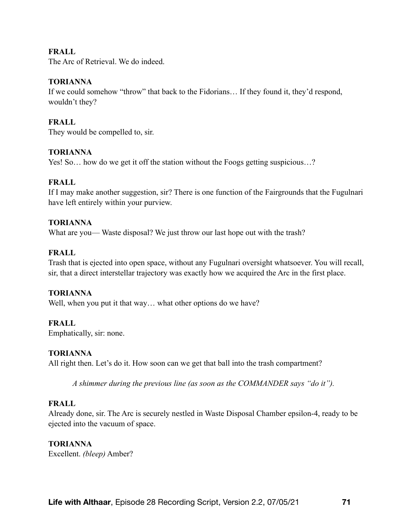## **FRALL**

The Arc of Retrieval. We do indeed.

#### **TORIANNA**

If we could somehow "throw" that back to the Fidorians… If they found it, they'd respond, wouldn't they?

## **FRALL**

They would be compelled to, sir.

#### **TORIANNA**

Yes! So... how do we get it off the station without the Foogs getting suspicious...?

#### **FRALL**

If I may make another suggestion, sir? There is one function of the Fairgrounds that the Fugulnari have left entirely within your purview.

#### **TORIANNA**

What are you— Waste disposal? We just throw our last hope out with the trash?

#### **FRALL**

Trash that is ejected into open space, without any Fugulnari oversight whatsoever. You will recall, sir, that a direct interstellar trajectory was exactly how we acquired the Arc in the first place.

#### **TORIANNA**

Well, when you put it that way... what other options do we have?

#### **FRALL**

Emphatically, sir: none.

#### **TORIANNA**

All right then. Let's do it. How soon can we get that ball into the trash compartment?

*A shimmer during the previous line (as soon as the COMMANDER says "do it").* 

#### **FRALL**

Already done, sir. The Arc is securely nestled in Waste Disposal Chamber epsilon-4, ready to be ejected into the vacuum of space.

#### **TORIANNA**

Excellent. *(bleep)* Amber?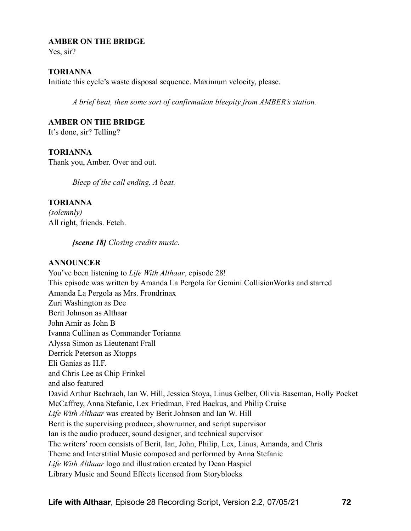#### **AMBER ON THE BRIDGE**

Yes, sir?

#### **TORIANNA**

Initiate this cycle's waste disposal sequence. Maximum velocity, please.

*A brief beat, then some sort of confirmation bleepity from AMBER's station.* 

#### **AMBER ON THE BRIDGE**

It's done, sir? Telling?

## **TORIANNA**

Thank you, Amber. Over and out.

*Bleep of the call ending. A beat.* 

## **TORIANNA**

*(solemnly)* All right, friends. Fetch.

*[scene 18] Closing credits music.* 

## **ANNOUNCER**

You've been listening to *Life With Althaar*, episode 28! This episode was written by Amanda La Pergola for Gemini CollisionWorks and starred Amanda La Pergola as Mrs. Frondrinax Zuri Washington as Dee Berit Johnson as Althaar John Amir as John B Ivanna Cullinan as Commander Torianna Alyssa Simon as Lieutenant Frall Derrick Peterson as Xtopps Eli Ganias as H.F. and Chris Lee as Chip Frinkel and also featured David Arthur Bachrach, Ian W. Hill, Jessica Stoya, Linus Gelber, Olivia Baseman, Holly Pocket McCaffrey, Anna Stefanic, Lex Friedman, Fred Backus, and Philip Cruise *Life With Althaar* was created by Berit Johnson and Ian W. Hill Berit is the supervising producer, showrunner, and script supervisor Ian is the audio producer, sound designer, and technical supervisor The writers' room consists of Berit, Ian, John, Philip, Lex, Linus, Amanda, and Chris Theme and Interstitial Music composed and performed by Anna Stefanic *Life With Althaar* logo and illustration created by Dean Haspiel Library Music and Sound Effects licensed from Storyblocks